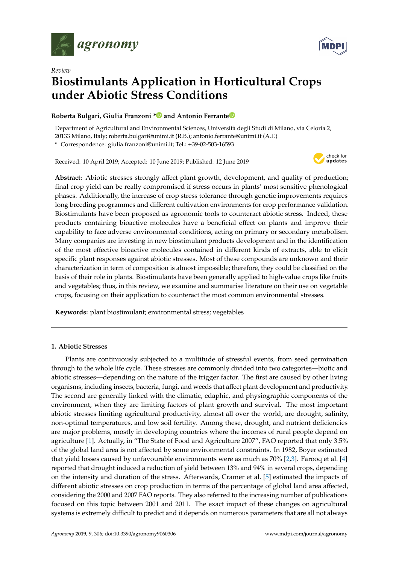

*Review*



# **Biostimulants Application in Horticultural Crops under Abiotic Stress Conditions**

# **Roberta Bulgari, Giulia Franzoni [\\*](https://orcid.org/0000-0003-2201-334X) and Antonio Ferrant[e](https://orcid.org/0000-0001-7781-9784)**

Department of Agricultural and Environmental Sciences, Università degli Studi di Milano, via Celoria 2, 20133 Milano, Italy; roberta.bulgari@unimi.it (R.B.); antonio.ferrante@unimi.it (A.F.)

**\*** Correspondence: giulia.franzoni@unimi.it; Tel.: +39-02-503-16593

Received: 10 April 2019; Accepted: 10 June 2019; Published: 12 June 2019



**Abstract:** Abiotic stresses strongly affect plant growth, development, and quality of production; final crop yield can be really compromised if stress occurs in plants' most sensitive phenological phases. Additionally, the increase of crop stress tolerance through genetic improvements requires long breeding programmes and different cultivation environments for crop performance validation. Biostimulants have been proposed as agronomic tools to counteract abiotic stress. Indeed, these products containing bioactive molecules have a beneficial effect on plants and improve their capability to face adverse environmental conditions, acting on primary or secondary metabolism. Many companies are investing in new biostimulant products development and in the identification of the most effective bioactive molecules contained in different kinds of extracts, able to elicit specific plant responses against abiotic stresses. Most of these compounds are unknown and their characterization in term of composition is almost impossible; therefore, they could be classified on the basis of their role in plants. Biostimulants have been generally applied to high-value crops like fruits and vegetables; thus, in this review, we examine and summarise literature on their use on vegetable crops, focusing on their application to counteract the most common environmental stresses.

**Keywords:** plant biostimulant; environmental stress; vegetables

# **1. Abiotic Stresses**

Plants are continuously subjected to a multitude of stressful events, from seed germination through to the whole life cycle. These stresses are commonly divided into two categories—biotic and abiotic stresses—depending on the nature of the trigger factor. The first are caused by other living organisms, including insects, bacteria, fungi, and weeds that affect plant development and productivity. The second are generally linked with the climatic, edaphic, and physiographic components of the environment, when they are limiting factors of plant growth and survival. The most important abiotic stresses limiting agricultural productivity, almost all over the world, are drought, salinity, non-optimal temperatures, and low soil fertility. Among these, drought, and nutrient deficiencies are major problems, mostly in developing countries where the incomes of rural people depend on agriculture [\[1\]](#page-20-0). Actually, in "The State of Food and Agriculture 2007", FAO reported that only 3.5% of the global land area is not affected by some environmental constraints. In 1982, Boyer estimated that yield losses caused by unfavourable environments were as much as 70% [\[2,](#page-20-1)[3\]](#page-20-2). Farooq et al. [\[4\]](#page-20-3) reported that drought induced a reduction of yield between 13% and 94% in several crops, depending on the intensity and duration of the stress. Afterwards, Cramer et al. [\[5\]](#page-20-4) estimated the impacts of different abiotic stresses on crop production in terms of the percentage of global land area affected, considering the 2000 and 2007 FAO reports. They also referred to the increasing number of publications focused on this topic between 2001 and 2011. The exact impact of these changes on agricultural systems is extremely difficult to predict and it depends on numerous parameters that are all not always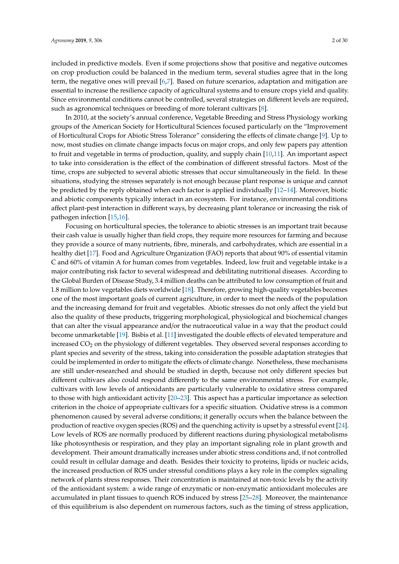included in predictive models. Even if some projections show that positive and negative outcomes on crop production could be balanced in the medium term, several studies agree that in the long term, the negative ones will prevail [\[6,](#page-20-5)[7\]](#page-20-6). Based on future scenarios, adaptation and mitigation are essential to increase the resilience capacity of agricultural systems and to ensure crops yield and quality. Since environmental conditions cannot be controlled, several strategies on different levels are required, such as agronomical techniques or breeding of more tolerant cultivars [\[8\]](#page-20-7).

In 2010, at the society's annual conference, Vegetable Breeding and Stress Physiology working groups of the American Society for Horticultural Sciences focused particularly on the "Improvement of Horticultural Crops for Abiotic Stress Tolerance" considering the effects of climate change [\[9\]](#page-20-8). Up to now, most studies on climate change impacts focus on major crops, and only few papers pay attention to fruit and vegetable in terms of production, quality, and supply chain [\[10,](#page-20-9)[11\]](#page-20-10). An important aspect to take into consideration is the effect of the combination of different stressful factors. Most of the time, crops are subjected to several abiotic stresses that occur simultaneously in the field. In these situations, studying the stresses separately is not enough because plant response is unique and cannot be predicted by the reply obtained when each factor is applied individually [\[12–](#page-20-11)[14\]](#page-20-12). Moreover, biotic and abiotic components typically interact in an ecosystem. For instance, environmental conditions affect plant-pest interaction in different ways, by decreasing plant tolerance or increasing the risk of pathogen infection [\[15,](#page-20-13)[16\]](#page-20-14).

Focusing on horticultural species, the tolerance to abiotic stresses is an important trait because their cash value is usually higher than field crops, they require more resources for farming and because they provide a source of many nutrients, fibre, minerals, and carbohydrates, which are essential in a healthy diet [\[17\]](#page-20-15). Food and Agriculture Organization (FAO) reports that about 90% of essential vitamin C and 60% of vitamin A for human comes from vegetables. Indeed, low fruit and vegetable intake is a major contributing risk factor to several widespread and debilitating nutritional diseases. According to the Global Burden of Disease Study, 3.4 million deaths can be attributed to low consumption of fruit and 1.8 million to low vegetables diets worldwide [\[18\]](#page-20-16). Therefore, growing high-quality vegetables becomes one of the most important goals of current agriculture, in order to meet the needs of the population and the increasing demand for fruit and vegetables. Abiotic stresses do not only affect the yield but also the quality of these products, triggering morphological, physiological and biochemical changes that can alter the visual appearance and/or the nutraceutical value in a way that the product could become unmarketable [\[19\]](#page-20-17). Bisbis et al. [\[11\]](#page-20-10) investigated the double effects of elevated temperature and increased CO<sub>2</sub> on the physiology of different vegetables. They observed several responses according to plant species and severity of the stress, taking into consideration the possible adaptation strategies that could be implemented in order to mitigate the effects of climate change. Nonetheless, these mechanisms are still under-researched and should be studied in depth, because not only different species but different cultivars also could respond differently to the same environmental stress. For example, cultivars with low levels of antioxidants are particularly vulnerable to oxidative stress compared to those with high antioxidant activity [\[20](#page-20-18)[–23\]](#page-21-0). This aspect has a particular importance as selection criterion in the choice of appropriate cultivars for a specific situation. Oxidative stress is a common phenomenon caused by several adverse conditions; it generally occurs when the balance between the production of reactive oxygen species (ROS) and the quenching activity is upset by a stressful event [\[24\]](#page-21-1). Low levels of ROS are normally produced by different reactions during physiological metabolisms like photosynthesis or respiration, and they play an important signaling role in plant growth and development. Their amount dramatically increases under abiotic stress conditions and, if not controlled could result in cellular damage and death. Besides their toxicity to proteins, lipids or nucleic acids, the increased production of ROS under stressful conditions plays a key role in the complex signaling network of plants stress responses. Their concentration is maintained at non-toxic levels by the activity of the antioxidant system: a wide range of enzymatic or non-enzymatic antioxidant molecules are accumulated in plant tissues to quench ROS induced by stress [\[25](#page-21-2)[–28\]](#page-21-3). Moreover, the maintenance of this equilibrium is also dependent on numerous factors, such as the timing of stress application,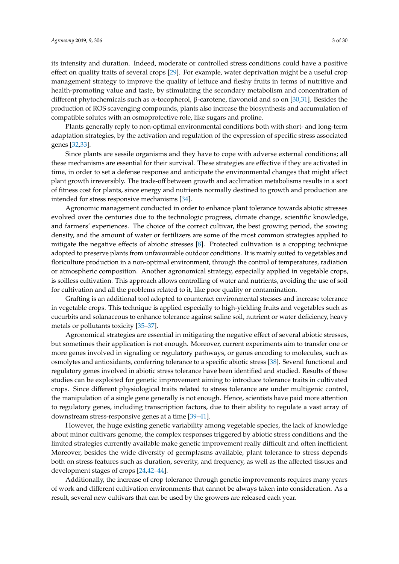its intensity and duration. Indeed, moderate or controlled stress conditions could have a positive effect on quality traits of several crops [\[29\]](#page-21-4). For example, water deprivation might be a useful crop management strategy to improve the quality of lettuce and fleshy fruits in terms of nutritive and health-promoting value and taste, by stimulating the secondary metabolism and concentration of different phytochemicals such as α-tocopherol, β-carotene, flavonoid and so on [\[30,](#page-21-5)[31\]](#page-21-6). Besides the production of ROS scavenging compounds, plants also increase the biosynthesis and accumulation of compatible solutes with an osmoprotective role, like sugars and proline.

Plants generally reply to non-optimal environmental conditions both with short- and long-term adaptation strategies, by the activation and regulation of the expression of specific stress associated genes [\[32](#page-21-7)[,33\]](#page-21-8).

Since plants are sessile organisms and they have to cope with adverse external conditions; all these mechanisms are essential for their survival. These strategies are effective if they are activated in time, in order to set a defense response and anticipate the environmental changes that might affect plant growth irreversibly. The trade-off between growth and acclimation metabolisms results in a sort of fitness cost for plants, since energy and nutrients normally destined to growth and production are intended for stress responsive mechanisms [\[34\]](#page-21-9).

Agronomic management conducted in order to enhance plant tolerance towards abiotic stresses evolved over the centuries due to the technologic progress, climate change, scientific knowledge, and farmers' experiences. The choice of the correct cultivar, the best growing period, the sowing density, and the amount of water or fertilizers are some of the most common strategies applied to mitigate the negative effects of abiotic stresses [\[8\]](#page-20-7). Protected cultivation is a cropping technique adopted to preserve plants from unfavourable outdoor conditions. It is mainly suited to vegetables and floriculture production in a non-optimal environment, through the control of temperatures, radiation or atmospheric composition. Another agronomical strategy, especially applied in vegetable crops, is soilless cultivation. This approach allows controlling of water and nutrients, avoiding the use of soil for cultivation and all the problems related to it, like poor quality or contamination.

Grafting is an additional tool adopted to counteract environmental stresses and increase tolerance in vegetable crops. This technique is applied especially to high-yielding fruits and vegetables such as cucurbits and solanaceous to enhance tolerance against saline soil, nutrient or water deficiency, heavy metals or pollutants toxicity [\[35–](#page-21-10)[37\]](#page-21-11).

Agronomical strategies are essential in mitigating the negative effect of several abiotic stresses, but sometimes their application is not enough. Moreover, current experiments aim to transfer one or more genes involved in signaling or regulatory pathways, or genes encoding to molecules, such as osmolytes and antioxidants, conferring tolerance to a specific abiotic stress [\[38\]](#page-21-12). Several functional and regulatory genes involved in abiotic stress tolerance have been identified and studied. Results of these studies can be exploited for genetic improvement aiming to introduce tolerance traits in cultivated crops. Since different physiological traits related to stress tolerance are under multigenic control, the manipulation of a single gene generally is not enough. Hence, scientists have paid more attention to regulatory genes, including transcription factors, due to their ability to regulate a vast array of downstream stress-responsive genes at a time [\[39](#page-21-13)[–41\]](#page-21-14).

However, the huge existing genetic variability among vegetable species, the lack of knowledge about minor cultivars genome, the complex responses triggered by abiotic stress conditions and the limited strategies currently available make genetic improvement really difficult and often inefficient. Moreover, besides the wide diversity of germplasms available, plant tolerance to stress depends both on stress features such as duration, severity, and frequency, as well as the affected tissues and development stages of crops [\[24,](#page-21-1)[42–](#page-21-15)[44\]](#page-21-16).

Additionally, the increase of crop tolerance through genetic improvements requires many years of work and different cultivation environments that cannot be always taken into consideration. As a result, several new cultivars that can be used by the growers are released each year.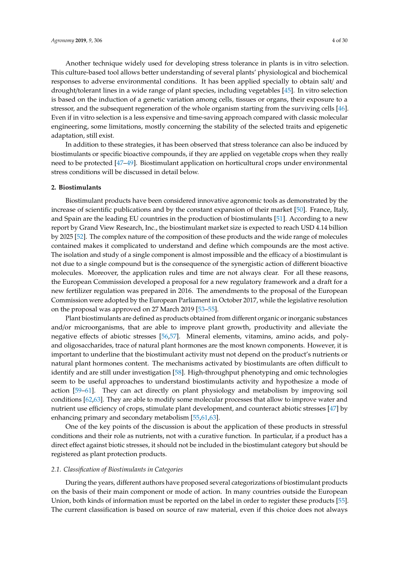Another technique widely used for developing stress tolerance in plants is in vitro selection. This culture-based tool allows better understanding of several plants' physiological and biochemical responses to adverse environmental conditions. It has been applied specially to obtain salt/ and drought/tolerant lines in a wide range of plant species, including vegetables [\[45\]](#page-21-17). In vitro selection is based on the induction of a genetic variation among cells, tissues or organs, their exposure to a stressor, and the subsequent regeneration of the whole organism starting from the surviving cells [\[46\]](#page-21-18). Even if in vitro selection is a less expensive and time-saving approach compared with classic molecular engineering, some limitations, mostly concerning the stability of the selected traits and epigenetic adaptation, still exist.

In addition to these strategies, it has been observed that stress tolerance can also be induced by biostimulants or specific bioactive compounds, if they are applied on vegetable crops when they really need to be protected [\[47](#page-22-0)[–49\]](#page-22-1). Biostimulant application on horticultural crops under environmental stress conditions will be discussed in detail below.

## **2. Biostimulants**

Biostimulant products have been considered innovative agronomic tools as demonstrated by the increase of scientific publications and by the constant expansion of their market [\[50\]](#page-22-2). France, Italy, and Spain are the leading EU countries in the production of biostimulants [\[51\]](#page-22-3). According to a new report by Grand View Research, Inc., the biostimulant market size is expected to reach USD 4.14 billion by 2025 [\[52\]](#page-22-4). The complex nature of the composition of these products and the wide range of molecules contained makes it complicated to understand and define which compounds are the most active. The isolation and study of a single component is almost impossible and the efficacy of a biostimulant is not due to a single compound but is the consequence of the synergistic action of different bioactive molecules. Moreover, the application rules and time are not always clear. For all these reasons, the European Commission developed a proposal for a new regulatory framework and a draft for a new fertilizer regulation was prepared in 2016. The amendments to the proposal of the European Commission were adopted by the European Parliament in October 2017, while the legislative resolution on the proposal was approved on 27 March 2019 [\[53–](#page-22-5)[55\]](#page-22-6).

Plant biostimulants are defined as products obtained from different organic or inorganic substances and/or microorganisms, that are able to improve plant growth, productivity and alleviate the negative effects of abiotic stresses [\[56,](#page-22-7)[57\]](#page-22-8). Mineral elements, vitamins, amino acids, and polyand oligosaccharides, trace of natural plant hormones are the most known components. However, it is important to underline that the biostimulant activity must not depend on the product's nutrients or natural plant hormones content. The mechanisms activated by biostimulants are often difficult to identify and are still under investigation [\[58\]](#page-22-9). High-throughput phenotyping and omic technologies seem to be useful approaches to understand biostimulants activity and hypothesize a mode of action [\[59–](#page-22-10)[61\]](#page-22-11). They can act directly on plant physiology and metabolism by improving soil conditions [\[62,](#page-22-12)[63\]](#page-22-13). They are able to modify some molecular processes that allow to improve water and nutrient use efficiency of crops, stimulate plant development, and counteract abiotic stresses [\[47\]](#page-22-0) by enhancing primary and secondary metabolism [\[55](#page-22-6)[,61,](#page-22-11)[63\]](#page-22-13).

One of the key points of the discussion is about the application of these products in stressful conditions and their role as nutrients, not with a curative function. In particular, if a product has a direct effect against biotic stresses, it should not be included in the biostimulant category but should be registered as plant protection products.

#### *2.1. Classification of Biostimulants in Categories*

During the years, different authors have proposed several categorizations of biostimulant products on the basis of their main component or mode of action. In many countries outside the European Union, both kinds of information must be reported on the label in order to register these products [\[55\]](#page-22-6). The current classification is based on source of raw material, even if this choice does not always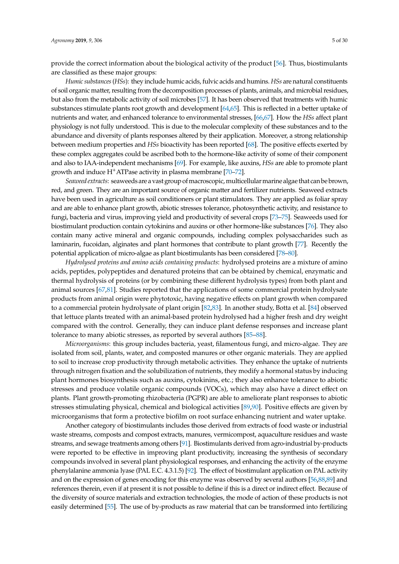provide the correct information about the biological activity of the product [\[56\]](#page-22-7). Thus, biostimulants are classified as these major groups:

*Humic substances*(*HSs*): they include humic acids, fulvic acids and humins. *HSs* are natural constituents of soil organic matter, resulting from the decomposition processes of plants, animals, and microbial residues, but also from the metabolic activity of soil microbes [\[57\]](#page-22-8). It has been observed that treatments with humic substances stimulate plants root growth and development [\[64,](#page-22-14)[65\]](#page-22-15). This is reflected in a better uptake of nutrients and water, and enhanced tolerance to environmental stresses, [\[66](#page-22-16)[,67\]](#page-22-17). How the *HSs* affect plant physiology is not fully understood. This is due to the molecular complexity of these substances and to the abundance and diversity of plants responses altered by their application. Moreover, a strong relationship between medium properties and *HSs* bioactivity has been reported [\[68\]](#page-23-0). The positive effects exerted by these complex aggregates could be ascribed both to the hormone-like activity of some of their component and also to IAA-independent mechanisms [\[69\]](#page-23-1). For example, like auxins, *HSs* are able to promote plant growth and induce  $H^+$ ATPase activity in plasma membrane [\[70](#page-23-2)[–72\]](#page-23-3).

*Seaweed extracts*: seaweeds are a vast group of macroscopic, multicellular marine algae that can be brown, red, and green. They are an important source of organic matter and fertilizer nutrients. Seaweed extracts have been used in agriculture as soil conditioners or plant stimulators. They are applied as foliar spray and are able to enhance plant growth, abiotic stresses tolerance, photosynthetic activity, and resistance to fungi, bacteria and virus, improving yield and productivity of several crops [\[73](#page-23-4)[–75\]](#page-23-5). Seaweeds used for biostimulant production contain cytokinins and auxins or other hormone-like substances [\[76\]](#page-23-6). They also contain many active mineral and organic compounds, including complex polysaccharides such as laminarin, fucoidan, alginates and plant hormones that contribute to plant growth [\[77\]](#page-23-7). Recently the potential application of micro-algae as plant biostimulants has been considered [\[78](#page-23-8)[–80\]](#page-23-9).

*Hydrolysed proteins and amino acids containing products*: hydrolysed proteins are a mixture of amino acids, peptides, polypeptides and denatured proteins that can be obtained by chemical, enzymatic and thermal hydrolysis of proteins (or by combining these different hydrolysis types) from both plant and animal sources [\[67](#page-22-17)[,81\]](#page-23-10). Studies reported that the applications of some commercial protein hydrolysate products from animal origin were phytotoxic, having negative effects on plant growth when compared to a commercial protein hydrolysate of plant origin [\[82](#page-23-11)[,83\]](#page-23-12). In another study, Botta et al. [\[84\]](#page-23-13) observed that lettuce plants treated with an animal-based protein hydrolysed had a higher fresh and dry weight compared with the control. Generally, they can induce plant defense responses and increase plant tolerance to many abiotic stresses, as reported by several authors [\[85](#page-23-14)[–88\]](#page-23-15).

*Microorganisms*: this group includes bacteria, yeast, filamentous fungi, and micro-algae. They are isolated from soil, plants, water, and composted manures or other organic materials. They are applied to soil to increase crop productivity through metabolic activities. They enhance the uptake of nutrients through nitrogen fixation and the solubilization of nutrients, they modify a hormonal status by inducing plant hormones biosynthesis such as auxins, cytokinins, etc.; they also enhance tolerance to abiotic stresses and produce volatile organic compounds (VOCs), which may also have a direct effect on plants. Plant growth-promoting rhizobacteria (PGPR) are able to ameliorate plant responses to abiotic stresses stimulating physical, chemical and biological activities [\[89](#page-23-16)[,90\]](#page-24-0). Positive effects are given by microorganisms that form a protective biofilm on root surface enhancing nutrient and water uptake.

Another category of biostimulants includes those derived from extracts of food waste or industrial waste streams, composts and compost extracts, manures, vermicompost, aquaculture residues and waste streams, and sewage treatments among others [\[91\]](#page-24-1). Biostimulants derived from agro-industrial by-products were reported to be effective in improving plant productivity, increasing the synthesis of secondary compounds involved in several plant physiological responses, and enhancing the activity of the enzyme phenylalanine ammonia lyase (PAL E.C. 4.3.1.5) [\[92\]](#page-24-2). The effect of biostimulant application on PAL activity and on the expression of genes encoding for this enzyme was observed by several authors [\[56](#page-22-7)[,88](#page-23-15)[,89\]](#page-23-16) and references therein, even if at present it is not possible to define if this is a direct or indirect effect. Because of the diversity of source materials and extraction technologies, the mode of action of these products is not easily determined [\[55\]](#page-22-6). The use of by-products as raw material that can be transformed into fertilizing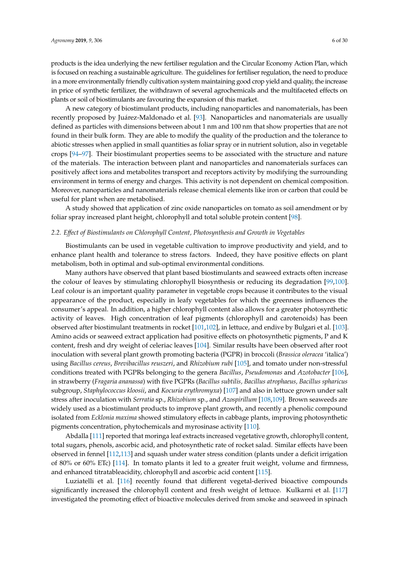products is the idea underlying the new fertiliser regulation and the Circular Economy Action Plan, which is focused on reaching a sustainable agriculture. The guidelines for fertiliser regulation, the need to produce in a more environmentally friendly cultivation system maintaining good crop yield and quality, the increase

plants or soil of biostimulants are favouring the expansion of this market. A new category of biostimulant products, including nanoparticles and nanomaterials, has been recently proposed by Juárez-Maldonado et al. [\[93\]](#page-24-3). Nanoparticles and nanomaterials are usually defined as particles with dimensions between about 1 nm and 100 nm that show properties that are not found in their bulk form. They are able to modify the quality of the production and the tolerance to abiotic stresses when applied in small quantities as foliar spray or in nutrient solution, also in vegetable crops [\[94](#page-24-4)[–97\]](#page-24-5). Their biostimulant properties seems to be associated with the structure and nature of the materials. The interaction between plant and nanoparticles and nanomaterials surfaces can positively affect ions and metabolites transport and receptors activity by modifying the surrounding environment in terms of energy and charges. This activity is not dependent on chemical composition. Moreover, nanoparticles and nanomaterials release chemical elements like iron or carbon that could be useful for plant when are metabolised.

in price of synthetic fertilizer, the withdrawn of several agrochemicals and the multifaceted effects on

A study showed that application of zinc oxide nanoparticles on tomato as soil amendment or by foliar spray increased plant height, chlorophyll and total soluble protein content [\[98\]](#page-24-6).

### *2.2. E*ff*ect of Biostimulants on Chlorophyll Content, Photosynthesis and Growth in Vegetables*

Biostimulants can be used in vegetable cultivation to improve productivity and yield, and to enhance plant health and tolerance to stress factors. Indeed, they have positive effects on plant metabolism, both in optimal and sub-optimal environmental conditions.

Many authors have observed that plant based biostimulants and seaweed extracts often increase the colour of leaves by stimulating chlorophyll biosynthesis or reducing its degradation [\[99,](#page-24-7)[100\]](#page-24-8). Leaf colour is an important quality parameter in vegetable crops because it contributes to the visual appearance of the product, especially in leafy vegetables for which the greenness influences the consumer's appeal. In addition, a higher chlorophyll content also allows for a greater photosynthetic activity of leaves. High concentration of leaf pigments (chlorophyll and carotenoids) has been observed after biostimulant treatments in rocket [\[101](#page-24-9)[,102\]](#page-24-10), in lettuce, and endive by Bulgari et al. [\[103\]](#page-24-11). Amino acids or seaweed extract application had positive effects on photosynthetic pigments, P and K content, fresh and dry weight of celeriac leaves [\[104\]](#page-24-12). Similar results have been observed after root inoculation with several plant growth promoting bacteria (PGPR) in broccoli (*Brassica oleracea* 'italica') using *Bacillus cereus*, *Brevibacillus reuszeri*, and *Rhizobium rubi* [\[105\]](#page-24-13), and tomato under non-stressful conditions treated with PGPRs belonging to the genera *Bacillus*, *Pseudomonas* and *Azotobacter* [\[106\]](#page-24-14), in strawberry (*Fragaria ananassa*) with five PGPRs (*Bacillus subtilis, Bacillus atrophaeus, Bacillus spharicus* subgroup, *Staphylococcus kloosii*, and *Kocuria erythromyxa*) [\[107\]](#page-24-15) and also in lettuce grown under salt stress after inoculation with *Serratia* sp., *Rhizobium* sp., and *Azospirillum* [\[108,](#page-24-16)[109\]](#page-24-17). Brown seaweeds are widely used as a biostimulant products to improve plant growth, and recently a phenolic compound isolated from *Ecklonia maxima* showed stimulatory effects in cabbage plants, improving photosynthetic pigments concentration, phytochemicals and myrosinase activity [\[110\]](#page-25-0).

Abdalla [\[111\]](#page-25-1) reported that moringa leaf extracts increased vegetative growth, chlorophyll content, total sugars, phenols, ascorbic acid, and photosynthetic rate of rocket salad. Similar effects have been observed in fennel [\[112,](#page-25-2)[113\]](#page-25-3) and squash under water stress condition (plants under a deficit irrigation of 80% or 60% ETc) [\[114\]](#page-25-4). In tomato plants it led to a greater fruit weight, volume and firmness, and enhanced titratableacidity, chlorophyll and ascorbic acid content [\[115\]](#page-25-5).

Luziatelli et al. [\[116\]](#page-25-6) recently found that different vegetal-derived bioactive compounds significantly increased the chlorophyll content and fresh weight of lettuce. Kulkarni et al. [\[117\]](#page-25-7) investigated the promoting effect of bioactive molecules derived from smoke and seaweed in spinach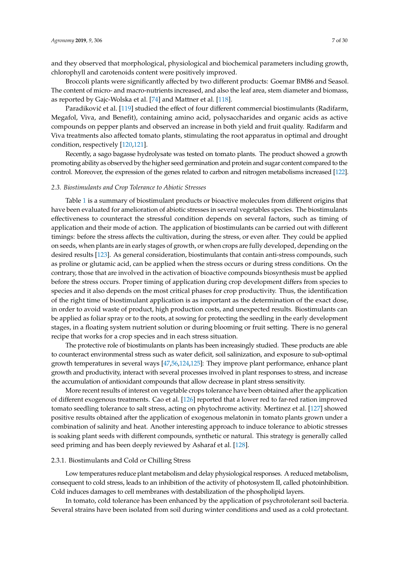and they observed that morphological, physiological and biochemical parameters including growth, chlorophyll and carotenoids content were positively improved.

Broccoli plants were significantly affected by two different products: Goemar BM86 and Seasol. The content of micro- and macro-nutrients increased, and also the leaf area, stem diameter and biomass, as reported by Gajc-Wolska et al. [\[74\]](#page-23-17) and Mattner et al. [\[118\]](#page-25-8).

Paradiković et al. [\[119\]](#page-25-9) studied the effect of four different commercial biostimulants (Radifarm, Megafol, Viva, and Benefit), containing amino acid, polysaccharides and organic acids as active compounds on pepper plants and observed an increase in both yield and fruit quality. Radifarm and Viva treatments also affected tomato plants, stimulating the root apparatus in optimal and drought condition, respectively [\[120,](#page-25-10)[121\]](#page-25-11).

Recently, a sago bagasse hydrolysate was tested on tomato plants. The product showed a growth promoting ability as observed by the higher seed germination and protein and sugar content compared to the control. Moreover, the expression of the genes related to carbon and nitrogen metabolisms increased [\[122\]](#page-25-12).

#### *2.3. Biostimulants and Crop Tolerance to Abiotic Stresses*

Table [1](#page-19-0) is a summary of biostimulant products or bioactive molecules from different origins that have been evaluated for amelioration of abiotic stresses in several vegetables species. The biostimulants effectiveness to counteract the stressful condition depends on several factors, such as timing of application and their mode of action. The application of biostimulants can be carried out with different timings: before the stress affects the cultivation, during the stress, or even after. They could be applied on seeds, when plants are in early stages of growth, or when crops are fully developed, depending on the desired results [\[123\]](#page-25-13). As general consideration, biostimulants that contain anti-stress compounds, such as proline or glutamic acid, can be applied when the stress occurs or during stress conditions. On the contrary, those that are involved in the activation of bioactive compounds biosynthesis must be applied before the stress occurs. Proper timing of application during crop development differs from species to species and it also depends on the most critical phases for crop productivity. Thus, the identification of the right time of biostimulant application is as important as the determination of the exact dose, in order to avoid waste of product, high production costs, and unexpected results. Biostimulants can be applied as foliar spray or to the roots, at sowing for protecting the seedling in the early development stages, in a floating system nutrient solution or during blooming or fruit setting. There is no general recipe that works for a crop species and in each stress situation.

The protective role of biostimulants on plants has been increasingly studied. These products are able to counteract environmental stress such as water deficit, soil salinization, and exposure to sub-optimal growth temperatures in several ways [\[47,](#page-22-0)[56](#page-22-7)[,124,](#page-25-14)[125\]](#page-25-15): They improve plant performance, enhance plant growth and productivity, interact with several processes involved in plant responses to stress, and increase the accumulation of antioxidant compounds that allow decrease in plant stress sensitivity.

More recent results of interest on vegetable crops tolerance have been obtained after the application of different exogenous treatments. Cao et al. [\[126\]](#page-25-16) reported that a lower red to far-red ration improved tomato seedling tolerance to salt stress, acting on phytochrome activity. Mertinez et al. [\[127\]](#page-25-17) showed positive results obtained after the application of exogenous melatonin in tomato plants grown under a combination of salinity and heat. Another interesting approach to induce tolerance to abiotic stresses is soaking plant seeds with different compounds, synthetic or natural. This strategy is generally called seed priming and has been deeply reviewed by Asharaf et al. [\[128\]](#page-25-18).

## 2.3.1. Biostimulants and Cold or Chilling Stress

Low temperatures reduce plant metabolism and delay physiological responses. A reduced metabolism, consequent to cold stress, leads to an inhibition of the activity of photosystem II, called photoinhibition. Cold induces damages to cell membranes with destabilization of the phospholipid layers.

In tomato, cold tolerance has been enhanced by the application of psychrotolerant soil bacteria. Several strains have been isolated from soil during winter conditions and used as a cold protectant.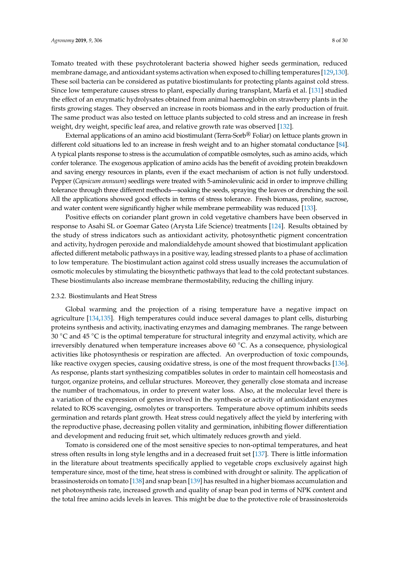Tomato treated with these psychrotolerant bacteria showed higher seeds germination, reduced membrane damage, and antioxidant systems activation when exposed to chilling temperatures [\[129](#page-26-0)[,130\]](#page-26-1). These soil bacteria can be considered as putative biostimulants for protecting plants against cold stress. Since low temperature causes stress to plant, especially during transplant, Marfà et al. [\[131\]](#page-26-2) studied the effect of an enzymatic hydrolysates obtained from animal haemoglobin on strawberry plants in the firsts growing stages. They observed an increase in roots biomass and in the early production of fruit. The same product was also tested on lettuce plants subjected to cold stress and an increase in fresh weight, dry weight, specific leaf area, and relative growth rate was observed [\[132\]](#page-26-3).

External applications of an amino acid biostimulant (Terra-Sorb® Foliar) on lettuce plants grown in different cold situations led to an increase in fresh weight and to an higher stomatal conductance [\[84\]](#page-23-13). A typical plants response to stress is the accumulation of compatible osmolytes, such as amino acids, which confer tolerance. The exogenous application of amino acids has the benefit of avoiding protein breakdown and saving energy resources in plants, even if the exact mechanism of action is not fully understood. Pepper (*Capsicum annuum*) seedlings were treated with 5-aminolevulinic acid in order to improve chilling tolerance through three different methods—soaking the seeds, spraying the leaves or drenching the soil. All the applications showed good effects in terms of stress tolerance. Fresh biomass, proline, sucrose, and water content were significantly higher while membrane permeability was reduced [\[133\]](#page-26-4).

Positive effects on coriander plant grown in cold vegetative chambers have been observed in response to Asahi SL or Goemar Gateo (Arysta Life Science) treatments [\[124\]](#page-25-14). Results obtained by the study of stress indicators such as antioxidant activity, photosynthetic pigment concentration and activity, hydrogen peroxide and malondialdehyde amount showed that biostimulant application affected different metabolic pathways in a positive way, leading stressed plants to a phase of acclimation to low temperature. The biostimulant action against cold stress usually increases the accumulation of osmotic molecules by stimulating the biosynthetic pathways that lead to the cold protectant substances. These biostimulants also increase membrane thermostability, reducing the chilling injury.

## 2.3.2. Biostimulants and Heat Stress

Global warming and the projection of a rising temperature have a negative impact on agriculture [\[134,](#page-26-5)[135\]](#page-26-6). High temperatures could induce several damages to plant cells, disturbing proteins synthesis and activity, inactivating enzymes and damaging membranes. The range between 30 ◦C and 45 ◦C is the optimal temperature for structural integrity and enzymal activity, which are irreversibly denatured when temperature increases above 60 ◦C. As a consequence, physiological activities like photosynthesis or respiration are affected. An overproduction of toxic compounds, like reactive oxygen species, causing oxidative stress, is one of the most frequent throwbacks [\[136\]](#page-26-7). As response, plants start synthesizing compatibles solutes in order to maintain cell homeostasis and turgor, organize proteins, and cellular structures. Moreover, they generally close stomata and increase the number of trachomatous, in order to prevent water loss. Also, at the molecular level there is a variation of the expression of genes involved in the synthesis or activity of antioxidant enzymes related to ROS scavenging, osmolytes or transporters. Temperature above optimum inhibits seeds germination and retards plant growth. Heat stress could negatively affect the yield by interfering with the reproductive phase, decreasing pollen vitality and germination, inhibiting flower differentiation and development and reducing fruit set, which ultimately reduces growth and yield.

Tomato is considered one of the most sensitive species to non-optimal temperatures, and heat stress often results in long style lengths and in a decreased fruit set [\[137\]](#page-26-8). There is little information in the literature about treatments specifically applied to vegetable crops exclusively against high temperature since, most of the time, heat stress is combined with drought or salinity. The application of brassinosteroids on tomato [\[138\]](#page-26-9) and snap bean [\[139\]](#page-26-10) has resulted in a higher biomass accumulation and net photosynthesis rate, increased growth and quality of snap bean pod in terms of NPK content and the total free amino acids levels in leaves. This might be due to the protective role of brassinosteroids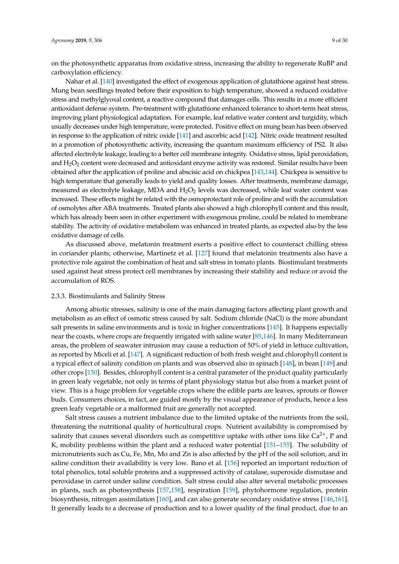on the photosynthetic apparatus from oxidative stress, increasing the ability to regenerate RuBP and carboxylation efficiency.

Nahar et al. [\[140\]](#page-26-11) investigated the effect of exogenous application of glutathione against heat stress. Mung bean seedlings treated before their exposition to high temperature, showed a reduced oxidative stress and methylglyoxal content, a reactive compound that damages cells. This results in a more efficient antioxidant defense system. Pre-treatment with glutathione enhanced tolerance to short-term heat stress, improving plant physiological adaptation. For example, leaf relative water content and turgidity, which usually decreases under high temperature, were protected. Positive effect on mung bean has been observed in response to the application of nitric oxide [\[141\]](#page-26-12) and ascorbic acid [\[142\]](#page-26-13). Nitric oxide treatment resulted in a promotion of photosynthetic activity, increasing the quantum maximum efficiency of PS2. It also affected electrolyte leakage, leading to a better cell membrane integrity. Oxidative stress, lipid peroxidation, and  $H_2O_2$  content were decreased and antioxidant enzyme activity was restored. Similar results have been obtained after the application of proline and abscisic acid on chickpea [\[143,](#page-26-14)[144\]](#page-26-15). Chickpea is sensitive to high temperature that generally leads to yield and quality losses. After treatments, membrane damage, measured as electrolyte leakage, MDA and  $H_2O_2$  levels was decreased, while leaf water content was increased. These effects might be related with the osmoprotectant role of proline and with the accumulation of osmolytes after ABA treatments. Treated plants also showed a high chlorophyll content and this result, which has already been seen in other experiment with exogenous proline, could be related to membrane stability. The activity of oxidative metabolism was enhanced in treated plants, as expected also by the less oxidative damage of cells.

As discussed above, melatonin treatment exerts a positive effect to counteract chilling stress in coriander plants; otherwise, Martinetz et al. [\[127\]](#page-25-17) found that melatonin treatments also have a protective role against the combination of heat and salt stress in tomato plants. Biostimulant treatments used against heat stress protect cell membranes by increasing their stability and reduce or avoid the accumulation of ROS.

## 2.3.3. Biostimulants and Salinity Stress

Among abiotic stresses, salinity is one of the main damaging factors affecting plant growth and metabolism as an effect of osmotic stress caused by salt. Sodium chloride (NaCl) is the more abundant salt presents in saline environments and is toxic in higher concentrations [\[145\]](#page-26-16). It happens especially near the coasts, where crops are frequently irrigated with saline water [\[85,](#page-23-14)[146\]](#page-26-17). In many Mediterranean areas, the problem of seawater intrusion may cause a reduction of 50% of yield in lettuce cultivation, as reported by Miceli et al. [\[147\]](#page-27-0). A significant reduction of both fresh weight and chlorophyll content is a typical effect of salinity condition on plants and was observed also in spinach [\[148\]](#page-27-1), in bean [\[149\]](#page-27-2) and other crops [\[150\]](#page-27-3). Besides, chlorophyll content is a central parameter of the product quality particularly in green leafy vegetable, not only in terms of plant physiology status but also from a market point of view. This is a huge problem for vegetable crops where the edible parts are leaves, sprouts or flower buds. Consumers choices, in fact, are guided mostly by the visual appearance of products, hence a less green leafy vegetable or a malformed fruit are generally not accepted.

Salt stress causes a nutrient imbalance due to the limited uptake of the nutrients from the soil, threatening the nutritional quality of horticultural crops. Nutrient availability is compromised by salinity that causes several disorders such as competitive uptake with other ions like  $Ca^{2+}$ , P and K, mobility problems within the plant and a reduced water potential [\[151](#page-27-4)[–155\]](#page-27-5). The solubility of micronutrients such as Cu, Fe, Mn, Mo and Zn is also affected by the pH of the soil solution, and in saline condition their availability is very low. Bano et al. [\[156\]](#page-27-6) reported an important reduction of total phenolics, total soluble proteins and a suppressed activity of catalase, superoxide dismutase and peroxidase in carrot under saline condition. Salt stress could also alter several metabolic processes in plants, such as photosynthesis [\[157](#page-27-7)[,158\]](#page-27-8), respiration [\[159\]](#page-27-9), phytohormone regulation, protein biosynthesis, nitrogen assimilation [\[160\]](#page-27-10), and can also generate secondary oxidative stress [\[146,](#page-26-17)[161\]](#page-27-11). It generally leads to a decrease of production and to a lower quality of the final product, due to an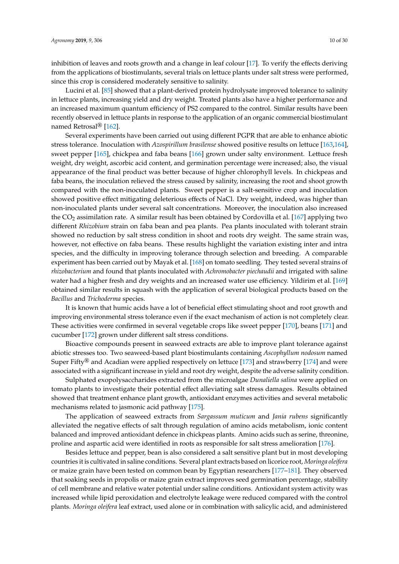inhibition of leaves and roots growth and a change in leaf colour [\[17\]](#page-20-15). To verify the effects deriving from the applications of biostimulants, several trials on lettuce plants under salt stress were performed, since this crop is considered moderately sensitive to salinity.

Lucini et al. [\[85\]](#page-23-14) showed that a plant-derived protein hydrolysate improved tolerance to salinity in lettuce plants, increasing yield and dry weight. Treated plants also have a higher performance and an increased maximum quantum efficiency of PS2 compared to the control. Similar results have been recently observed in lettuce plants in response to the application of an organic commercial biostimulant named Retrosal® [\[162\]](#page-27-12).

Several experiments have been carried out using different PGPR that are able to enhance abiotic stress tolerance. Inoculation with *Azospirillum brasilense* showed positive results on lettuce [\[163,](#page-27-13)[164\]](#page-27-14), sweet pepper [\[165\]](#page-27-15), chickpea and faba beans [\[166\]](#page-27-16) grown under salty environment. Lettuce fresh weight, dry weight, ascorbic acid content, and germination percentage were increased; also, the visual appearance of the final product was better because of higher chlorophyll levels. In chickpeas and faba beans, the inoculation relieved the stress caused by salinity, increasing the root and shoot growth compared with the non-inoculated plants. Sweet pepper is a salt-sensitive crop and inoculation showed positive effect mitigating deleterious effects of NaCl. Dry weight, indeed, was higher than non-inoculated plants under several salt concentrations. Moreover, the inoculation also increased the  $CO<sub>2</sub>$  assimilation rate. A similar result has been obtained by Cordovilla et al. [\[167\]](#page-27-17) applying two different *Rhizobium* strain on faba bean and pea plants. Pea plants inoculated with tolerant strain showed no reduction by salt stress condition in shoot and roots dry weight. The same strain was, however, not effective on faba beans. These results highlight the variation existing inter and intra species, and the difficulty in improving tolerance through selection and breeding. A comparable experiment has been carried out by Mayak et al. [\[168\]](#page-27-18) on tomato seedling. They tested several strains of *rhizobacterium* and found that plants inoculated with *Achromobacter piechaudii* and irrigated with saline water had a higher fresh and dry weights and an increased water use efficiency. Yildirim et al. [\[169\]](#page-27-19) obtained similar results in squash with the application of several biological products based on the *Bacillus* and *Trichoderma* species.

It is known that humic acids have a lot of beneficial effect stimulating shoot and root growth and improving environmental stress tolerance even if the exact mechanism of action is not completely clear. These activities were confirmed in several vegetable crops like sweet pepper [\[170\]](#page-27-20), beans [\[171\]](#page-28-0) and cucumber [\[172\]](#page-28-1) grown under different salt stress conditions.

Bioactive compounds present in seaweed extracts are able to improve plant tolerance against abiotic stresses too. Two seaweed-based plant biostimulants containing *Ascophyllum nodosum* named Super Fifty<sup>®</sup> and Acadian were applied respectively on lettuce [\[173\]](#page-28-2) and strawberry [\[174\]](#page-28-3) and were associated with a significant increase in yield and root dry weight, despite the adverse salinity condition.

Sulphated exopolysaccharides extracted from the microalgae *Dunaliella salina* were applied on tomato plants to investigate their potential effect alleviating salt stress damages. Results obtained showed that treatment enhance plant growth, antioxidant enzymes activities and several metabolic mechanisms related to jasmonic acid pathway [\[175\]](#page-28-4).

The application of seaweed extracts from *Sargassum muticum* and *Jania rubens* significantly alleviated the negative effects of salt through regulation of amino acids metabolism, ionic content balanced and improved antioxidant defence in chickpeas plants. Amino acids such as serine, threonine, proline and aspartic acid were identified in roots as responsible for salt stress amelioration [\[176\]](#page-28-5).

Besides lettuce and pepper, bean is also considered a salt sensitive plant but in most developing countries it is cultivated in saline conditions. Several plant extracts based on licorice root, *Moringa oleifera* or maize grain have been tested on common bean by Egyptian researchers [\[177](#page-28-6)[–181\]](#page-28-7). They observed that soaking seeds in propolis or maize grain extract improves seed germination percentage, stability of cell membrane and relative water potential under saline conditions. Antioxidant system activity was increased while lipid peroxidation and electrolyte leakage were reduced compared with the control plants. *Moringa oleifera* leaf extract, used alone or in combination with salicylic acid, and administered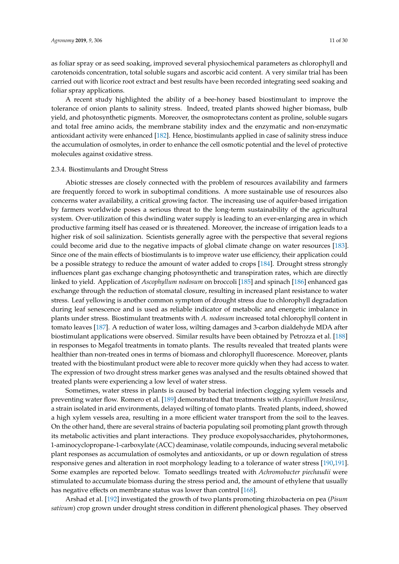as foliar spray or as seed soaking, improved several physiochemical parameters as chlorophyll and carotenoids concentration, total soluble sugars and ascorbic acid content. A very similar trial has been carried out with licorice root extract and best results have been recorded integrating seed soaking and foliar spray applications.

A recent study highlighted the ability of a bee-honey based biostimulant to improve the tolerance of onion plants to salinity stress. Indeed, treated plants showed higher biomass, bulb yield, and photosynthetic pigments. Moreover, the osmoprotectans content as proline, soluble sugars and total free amino acids, the membrane stability index and the enzymatic and non-enzymatic antioxidant activity were enhanced [\[182\]](#page-28-8). Hence, biostimulants applied in case of salinity stress induce the accumulation of osmolytes, in order to enhance the cell osmotic potential and the level of protective molecules against oxidative stress.

#### 2.3.4. Biostimulants and Drought Stress

Abiotic stresses are closely connected with the problem of resources availability and farmers are frequently forced to work in suboptimal conditions. A more sustainable use of resources also concerns water availability, a critical growing factor. The increasing use of aquifer-based irrigation by farmers worldwide poses a serious threat to the long-term sustainability of the agricultural system. Over-utilization of this dwindling water supply is leading to an ever-enlarging area in which productive farming itself has ceased or is threatened. Moreover, the increase of irrigation leads to a higher risk of soil salinization. Scientists generally agree with the perspective that several regions could become arid due to the negative impacts of global climate change on water resources [\[183\]](#page-28-9). Since one of the main effects of biostimulants is to improve water use efficiency, their application could be a possible strategy to reduce the amount of water added to crops [\[184\]](#page-28-10). Drought stress strongly influences plant gas exchange changing photosynthetic and transpiration rates, which are directly linked to yield. Application of *Ascophyllum nodosum* on broccoli [\[185\]](#page-28-11) and spinach [\[186\]](#page-28-12) enhanced gas exchange through the reduction of stomatal closure, resulting in increased plant resistance to water stress. Leaf yellowing is another common symptom of drought stress due to chlorophyll degradation during leaf senescence and is used as reliable indicator of metabolic and energetic imbalance in plants under stress. Biostimulant treatments with *A. nodosum* increased total chlorophyll content in tomato leaves [\[187\]](#page-28-13). A reduction of water loss, wilting damages and 3-carbon dialdehyde MDA after biostimulant applications were observed. Similar results have been obtained by Petrozza et al. [\[188\]](#page-28-14) in responses to Megafol treatments in tomato plants. The results revealed that treated plants were healthier than non-treated ones in terms of biomass and chlorophyll fluorescence. Moreover, plants treated with the biostimulant product were able to recover more quickly when they had access to water. The expression of two drought stress marker genes was analysed and the results obtained showed that treated plants were experiencing a low level of water stress.

Sometimes, water stress in plants is caused by bacterial infection clogging xylem vessels and preventing water flow. Romero et al. [\[189\]](#page-28-15) demonstrated that treatments with *Azospirillum brasilense*, a strain isolated in arid environments, delayed wilting of tomato plants. Treated plants, indeed, showed a high xylem vessels area, resulting in a more efficient water transport from the soil to the leaves. On the other hand, there are several strains of bacteria populating soil promoting plant growth through its metabolic activities and plant interactions. They produce exopolysaccharides, phytohormones, 1-aminocyclopropane-1-carboxylate (ACC) deaminase, volatile compounds, inducing several metabolic plant responses as accumulation of osmolytes and antioxidants, or up or down regulation of stress responsive genes and alteration in root morphology leading to a tolerance of water stress [\[190,](#page-28-16)[191\]](#page-28-17). Some examples are reported below. Tomato seedlings treated with *Achromobacter piechaudii* were stimulated to accumulate biomass during the stress period and, the amount of ethylene that usually has negative effects on membrane status was lower than control [\[168\]](#page-27-18).

Arshad et al. [\[192\]](#page-29-0) investigated the growth of two plants promoting rhizobacteria on pea (*Pisum sativum*) crop grown under drought stress condition in different phenological phases. They observed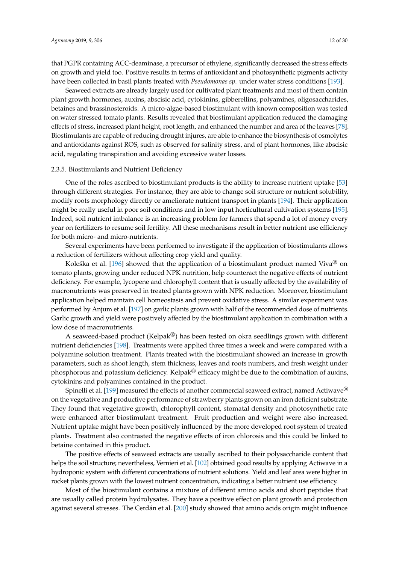that PGPR containing ACC-deaminase, a precursor of ethylene, significantly decreased the stress effects on growth and yield too. Positive results in terms of antioxidant and photosynthetic pigments activity have been collected in basil plants treated with *Pseudomonas sp*. under water stress conditions [\[193\]](#page-29-1).

Seaweed extracts are already largely used for cultivated plant treatments and most of them contain plant growth hormones, auxins, abscisic acid, cytokinins, gibberellins, polyamines, oligosaccharides, betaines and brassinosteroids. A micro-algae-based biostimulant with known composition was tested on water stressed tomato plants. Results revealed that biostimulant application reduced the damaging effects of stress, increased plant height, root length, and enhanced the number and area of the leaves [\[78\]](#page-23-8). Biostimulants are capable of reducing drought injures, are able to enhance the biosynthesis of osmolytes and antioxidants against ROS, such as observed for salinity stress, and of plant hormones, like abscisic acid, regulating transpiration and avoiding excessive water losses.

#### 2.3.5. Biostimulants and Nutrient Deficiency

One of the roles ascribed to biostimulant products is the ability to increase nutrient uptake [\[53\]](#page-22-5) through different strategies. For instance, they are able to change soil structure or nutrient solubility, modify roots morphology directly or ameliorate nutrient transport in plants [\[194\]](#page-29-2). Their application might be really useful in poor soil conditions and in low input horticultural cultivation systems [\[195\]](#page-29-3). Indeed, soil nutrient imbalance is an increasing problem for farmers that spend a lot of money every year on fertilizers to resume soil fertility. All these mechanisms result in better nutrient use efficiency for both micro- and micro-nutrients.

Several experiments have been performed to investigate if the application of biostimulants allows a reduction of fertilizers without affecting crop yield and quality.

Koleška et al. [\[196\]](#page-29-4) showed that the application of a biostimulant product named Viva<sup>®</sup> on tomato plants, growing under reduced NPK nutrition, help counteract the negative effects of nutrient deficiency. For example, lycopene and chlorophyll content that is usually affected by the availability of macronutrients was preserved in treated plants grown with NPK reduction. Moreover, biostimulant application helped maintain cell homeostasis and prevent oxidative stress. A similar experiment was performed by Anjum et al. [\[197\]](#page-29-5) on garlic plants grown with half of the recommended dose of nutrients. Garlic growth and yield were positively affected by the biostimulant application in combination with a low dose of macronutrients.

A seaweed-based product (Kelpak®) has been tested on okra seedlings grown with different nutrient deficiencies [\[198\]](#page-29-6). Treatments were applied three times a week and were compared with a polyamine solution treatment. Plants treated with the biostimulant showed an increase in growth parameters, such as shoot length, stem thickness, leaves and roots numbers, and fresh weight under phosphorous and potassium deficiency. Kelpak® efficacy might be due to the combination of auxins, cytokinins and polyamines contained in the product.

Spinelli et al. [\[199\]](#page-29-7) measured the effects of another commercial seaweed extract, named Actiwave<sup>®</sup> on the vegetative and productive performance of strawberry plants grown on an iron deficient substrate. They found that vegetative growth, chlorophyll content, stomatal density and photosynthetic rate were enhanced after biostimulant treatment. Fruit production and weight were also increased. Nutrient uptake might have been positively influenced by the more developed root system of treated plants. Treatment also contrasted the negative effects of iron chlorosis and this could be linked to betaine contained in this product.

The positive effects of seaweed extracts are usually ascribed to their polysaccharide content that helps the soil structure; nevertheless, Vernieri et al. [\[102\]](#page-24-10) obtained good results by applying Actiwave in a hydroponic system with different concentrations of nutrient solutions. Yield and leaf area were higher in rocket plants grown with the lowest nutrient concentration, indicating a better nutrient use efficiency.

Most of the biostimulant contains a mixture of different amino acids and short peptides that are usually called protein hydrolysates. They have a positive effect on plant growth and protection against several stresses. The Cerdán et al. [\[200\]](#page-29-8) study showed that amino acids origin might influence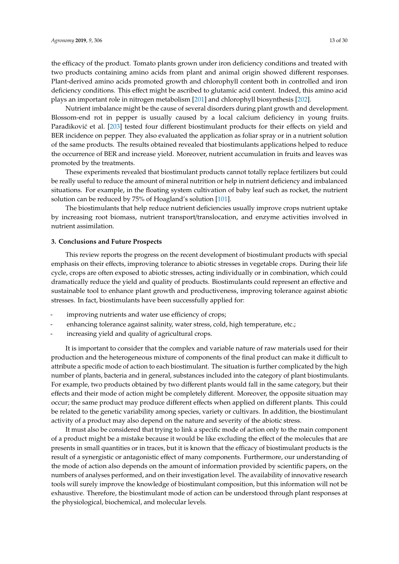the efficacy of the product. Tomato plants grown under iron deficiency conditions and treated with two products containing amino acids from plant and animal origin showed different responses. Plant-derived amino acids promoted growth and chlorophyll content both in controlled and iron deficiency conditions. This effect might be ascribed to glutamic acid content. Indeed, this amino acid plays an important role in nitrogen metabolism [\[201\]](#page-29-9) and chlorophyll biosynthesis [\[202\]](#page-29-10).

Nutrient imbalance might be the cause of several disorders during plant growth and development. Blossom-end rot in pepper is usually caused by a local calcium deficiency in young fruits. Parađiković et al. [\[203\]](#page-29-11) tested four different biostimulant products for their effects on yield and BER incidence on pepper. They also evaluated the application as foliar spray or in a nutrient solution of the same products. The results obtained revealed that biostimulants applications helped to reduce the occurrence of BER and increase yield. Moreover, nutrient accumulation in fruits and leaves was promoted by the treatments.

These experiments revealed that biostimulant products cannot totally replace fertilizers but could be really useful to reduce the amount of mineral nutrition or help in nutrient deficiency and imbalanced situations. For example, in the floating system cultivation of baby leaf such as rocket, the nutrient solution can be reduced by 75% of Hoagland's solution [\[101\]](#page-24-9).

The biostimulants that help reduce nutrient deficiencies usually improve crops nutrient uptake by increasing root biomass, nutrient transport/translocation, and enzyme activities involved in nutrient assimilation.

### **3. Conclusions and Future Prospects**

This review reports the progress on the recent development of biostimulant products with special emphasis on their effects, improving tolerance to abiotic stresses in vegetable crops. During their life cycle, crops are often exposed to abiotic stresses, acting individually or in combination, which could dramatically reduce the yield and quality of products. Biostimulants could represent an effective and sustainable tool to enhance plant growth and productiveness, improving tolerance against abiotic stresses. In fact, biostimulants have been successfully applied for:

- improving nutrients and water use efficiency of crops;
- enhancing tolerance against salinity, water stress, cold, high temperature, etc.;
- increasing yield and quality of agricultural crops.

It is important to consider that the complex and variable nature of raw materials used for their production and the heterogeneous mixture of components of the final product can make it difficult to attribute a specific mode of action to each biostimulant. The situation is further complicated by the high number of plants, bacteria and in general, substances included into the category of plant biostimulants. For example, two products obtained by two different plants would fall in the same category, but their effects and their mode of action might be completely different. Moreover, the opposite situation may occur; the same product may produce different effects when applied on different plants. This could be related to the genetic variability among species, variety or cultivars. In addition, the biostimulant activity of a product may also depend on the nature and severity of the abiotic stress.

It must also be considered that trying to link a specific mode of action only to the main component of a product might be a mistake because it would be like excluding the effect of the molecules that are presents in small quantities or in traces, but it is known that the efficacy of biostimulant products is the result of a synergistic or antagonistic effect of many components. Furthermore, our understanding of the mode of action also depends on the amount of information provided by scientific papers, on the numbers of analyses performed, and on their investigation level. The availability of innovative research tools will surely improve the knowledge of biostimulant composition, but this information will not be exhaustive. Therefore, the biostimulant mode of action can be understood through plant responses at the physiological, biochemical, and molecular levels.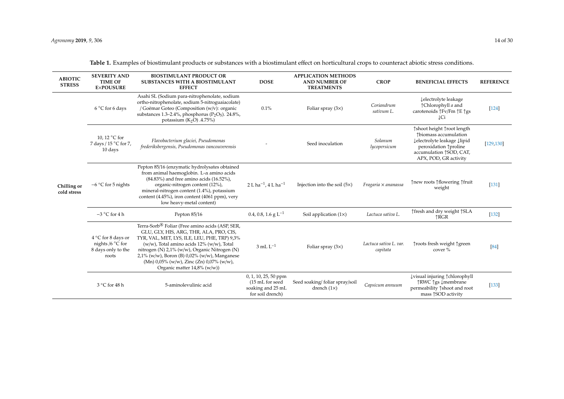| <b>ABIOTIC</b><br><b>STRESS</b> | <b>SEVERITY AND</b><br><b>TIME OF</b><br><b>EXPOUSURE</b>                               | <b>BIOSTIMULANT PRODUCT OR</b><br>SUBSTANCES WITH A BIOSTIMULANT<br><b>EFFECT</b>                                                                                                                                                                                                                                                                                                     | <b>DOSE</b>                                                                        | <b>APPLICATION METHODS</b><br><b>AND NUMBER OF</b><br><b>TREATMENTS</b> | <b>CROP</b>                        | <b>BENEFICIAL EFFECTS</b>                                                                                                                                                  | <b>REFERENCE</b> |
|---------------------------------|-----------------------------------------------------------------------------------------|---------------------------------------------------------------------------------------------------------------------------------------------------------------------------------------------------------------------------------------------------------------------------------------------------------------------------------------------------------------------------------------|------------------------------------------------------------------------------------|-------------------------------------------------------------------------|------------------------------------|----------------------------------------------------------------------------------------------------------------------------------------------------------------------------|------------------|
|                                 | 6 °C for 6 days                                                                         | Asahi SL (Sodium para-nitrophenolate, sodium<br>ortho-nitrophenolate, sodium 5-nitroguaiacolate)<br>/ Goëmar Goteo (Composition (w/v): organic<br>substances 1.3–2.4%, phosphorus ( $P_2O_5$ ). 24.8%,<br>potassium $(K_2O)$ .4.75%)                                                                                                                                                  | 0.1%                                                                               | Foliar spray $(3\times)$                                                | Coriandrum<br>sativum L.           | Lelectrolyte leakage<br>↑Chlorophyll a and<br>carotenoids ↑Fv/Fm ↑E ↑gs<br>↓Ci                                                                                             | $[124]$          |
|                                 | 10, 12 °C for<br>7 days / 15 °C for 7,<br>10 days                                       | Flavobacterium glaciei, Pseudomonas<br>frederiksbergensis, Pseudomonas vancouverensis                                                                                                                                                                                                                                                                                                 |                                                                                    | Seed inoculation                                                        | Solanum<br>lycopersicum            | ↑shoot height ↑root length<br>Tbiomass accumulation<br>Jelectrolyte leakage Jlipid<br>peroxidation 1 proline<br>accumulation $\uparrow$ SOD, CAT,<br>APX, POD, GR activity | [129, 130]       |
| Chilling or<br>cold stress      | $-6$ °C for 5 nights                                                                    | Pepton 85/16 (enzymatic hydrolysates obtained<br>from animal haemoglobin. L- $\alpha$ amino acids<br>$(84.83\%)$ and free amino acids $(16.52\%)$ ,<br>organic-nitrogen content (12%),<br>mineral-nitrogen content (1.4%), potassium<br>content (4.45%), iron content (4061 ppm), very<br>low heavy-metal content)                                                                    | $2 L ha^{-1}$ , 4 L ha <sup>-1</sup>                                               | Injection into the soil $(5x)$                                          | Fragaria × ananassa                | ↑new roots ↑ flowering ↑ fruit<br>weight                                                                                                                                   | $[131]$          |
|                                 | $-3$ °C for 4 h                                                                         | Pepton 85/16                                                                                                                                                                                                                                                                                                                                                                          | 0.4, 0.8, 1.6 g $L^{-1}$                                                           | Soil application $(1\times)$                                            | Lactuca sativa L.                  | ↑fresh and dry weight ↑SLA<br>$\uparrow$ RGR                                                                                                                               | $[132]$          |
|                                 | $4^{\circ}$ C for 8 days or<br>nights /6 $\degree$ C for<br>8 days only to the<br>roots | Terra-Sorb <sup>®</sup> Foliar (Free amino acids (ASP, SER,<br>GLU, GLY, HIS, ARG, THR, ALA, PRO, CIS,<br>TYR, VAL, MET, LYS, ILE, LEU, PHE, TRP) 9,3%<br>$(w/w)$ , Total amino acids 12% $(w/w)$ , Total<br>nitrogen (N) 2,1% (w/w), Organic Nitrogen (N)<br>2,1% (w/w), Boron (B) 0,02% (w/w), Manganese<br>(Mn) 0,05% (w/w), Zinc (Zn) 0,07% (w/w),<br>Organic matter 14,8% (w/w)) | $3$ mL $L^{-1}$                                                                    | Foliar spray $(3\times)$                                                | Lactuca sativa L. var.<br>capitata | ↑roots fresh weight ↑green<br>cover %                                                                                                                                      | $[84]$           |
|                                 | 3 °C for 48 h                                                                           | 5-aminolevulinic acid                                                                                                                                                                                                                                                                                                                                                                 | $0, 1, 10, 25, 50$ ppm<br>(15 mL for seed<br>soaking and 25 mL<br>for soil drench) | Seed soaking/ foliar spray/soil<br>drench $(1\times)$                   | Capsicum annuum                    | Įvisual injuring ↑ chlorophyll<br>↑RWC ↑gs ↓membrane<br>permeability 1shoot and root<br>mass 1SOD activity                                                                 | $[133]$          |

**Table 1.** Examples of biostimulant products or substances with a biostimulant effect on horticultural crops to counteract abiotic stress conditions.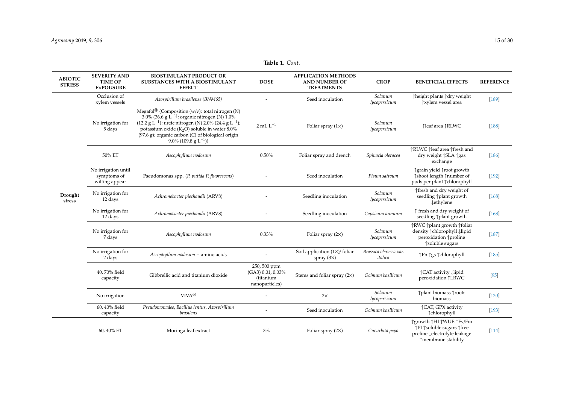| <b>ABIOTIC</b><br><b>STRESS</b> | <b>SEVERITY AND</b><br><b>TIME OF</b><br><b>EXPOUSURE</b> | <b>BIOSTIMULANT PRODUCT OR</b><br>SUBSTANCES WITH A BIOSTIMULANT<br><b>EFFECT</b>                                                                                                                                                                                                                                                      | <b>DOSE</b>                                                      | <b>APPLICATION METHODS</b><br><b>AND NUMBER OF</b><br><b>TREATMENTS</b> | <b>CROP</b>                       | <b>BENEFICIAL EFFECTS</b>                                                                                       | <b>REFERENCE</b> |
|---------------------------------|-----------------------------------------------------------|----------------------------------------------------------------------------------------------------------------------------------------------------------------------------------------------------------------------------------------------------------------------------------------------------------------------------------------|------------------------------------------------------------------|-------------------------------------------------------------------------|-----------------------------------|-----------------------------------------------------------------------------------------------------------------|------------------|
|                                 | Occlusion of<br>xylem vessels                             | Azospirillum brasilense (BNM65)                                                                                                                                                                                                                                                                                                        |                                                                  | Seed inoculation                                                        | Solanum<br>lycopersicum           | ↑height plants ↑dry weight<br>↑xylem vessel area                                                                | $[189]$          |
|                                 | No irrigation for<br>5 days                               | Megafol® (Composition (w/v): total nitrogen (N)<br>3.0% (36.6 g $L^{-1}$ ); organic nitrogen (N) 1.0%<br>(12.2 g L <sup>-1</sup> ); ureic nitrogen (N) 2.0% (24.4 g L <sup>-1</sup> );<br>potassium oxide ( $K_2O$ ) soluble in water 8.0%<br>$(97.6 g)$ ; organic carbon (C) of biological origin<br>9.0% (109.8 g L <sup>-1</sup> )) | $2\ {\rm mL}\ {\rm L}^{-1}$                                      | Foliar spray $(1\times)$                                                | Solanum<br>lycopersicum           | ↑leaf area ↑RLWC                                                                                                | $[188]$          |
|                                 | 50% ET                                                    | Ascophyllum nodosum                                                                                                                                                                                                                                                                                                                    | 0.50%                                                            | Foliar spray and drench                                                 | Spinacia oleracea                 | ↑RLWC ↑leaf area ↑fresh and<br>dry weight ↑SLA ↑gas<br>exchange                                                 | $[186]$          |
| Drought<br>stress               | No irrigation until<br>symptoms of<br>wilting appear      | Pseudomonas spp. (P. putida P. fluorescens)                                                                                                                                                                                                                                                                                            |                                                                  | Seed inoculation                                                        | Pisum sativum                     | ↑ grain yield ↑ root growth<br>↑shoot length ↑number of<br>pods per plant ^chlorophyll                          | $[192]$          |
|                                 | No irrigation for<br>12 days                              | Achromobacter piechaudii (ARV8)                                                                                                                                                                                                                                                                                                        |                                                                  | Seedling inoculation                                                    | Solanum<br>lycopersicum           | Tresh and dry weight of<br>seedling 1 plant growth<br><b>Lethylene</b>                                          | $[168]$          |
|                                 | No irrigation for<br>12 days                              | Achromobacter piechaudii (ARV8)                                                                                                                                                                                                                                                                                                        |                                                                  | Seedling inoculation                                                    | Capsicum annuum                   | ↑ fresh and dry weight of<br>seedling 1plant growth                                                             | $[168]$          |
|                                 | No irrigation for<br>7 days                               | Ascophyllum nodosum                                                                                                                                                                                                                                                                                                                    | $0.33\%$                                                         | Foliar spray $(2\times)$                                                | Solanum<br>lycopersicum           | ↑RWC ↑ plant growth ↑ foliar<br>density 1chlorophyll Ulipid<br>peroxidation <i>T</i> proline<br>↑soluble sugars | $[187]$          |
|                                 | No irrigation for<br>2 days                               | Ascophyllum nodosum + amino acids                                                                                                                                                                                                                                                                                                      |                                                                  | Soil application $(1\times)$ foliar<br>spray $(3\times)$                | Brassica oleracea var.<br>italica | ↑Pn ↑gs ↑chlorophyll                                                                                            | $[185]$          |
|                                 | 40, 70% field<br>capacity                                 | Gibbrellic acid and titanium dioxide                                                                                                                                                                                                                                                                                                   | 250, 500 ppm<br>(GA3) 0.01, 0.03%<br>(titanium<br>nanoparticles) | Stems and foliar spray $(2\times)$                                      | Ocimum basilicum                  | ↑CAT activity ↓lipid<br>peroxidation 1LRWC                                                                      | $[95]$           |
|                                 | No irrigation                                             | $VIVA^{\circledR}$                                                                                                                                                                                                                                                                                                                     |                                                                  | $2\times$                                                               | Solanum<br>lycopersicum           | ↑plant biomass ↑roots<br>biomass                                                                                | $[120]$          |
|                                 | 60, 40% field<br>capacity                                 | Pseudomonades, Bacillus lentus, Azospirillum<br>brasilens                                                                                                                                                                                                                                                                              |                                                                  | Seed inoculation                                                        | Ocimum basilicum                  | ↑CAT, GPX activity<br><b>^chlorophyll</b>                                                                       | [193]            |
|                                 | 60, 40% ET                                                | Moringa leaf extract                                                                                                                                                                                                                                                                                                                   | 3%                                                               | Foliar spray $(2\times)$                                                | Cucurbita pepo                    | ↑growth ↑HI ↑WUE ↑Fv/Fm<br>↑PI ↑soluble sugars ↑free<br>proline Jelectrolyte leakage<br>↑membrane stability     | $[114]$          |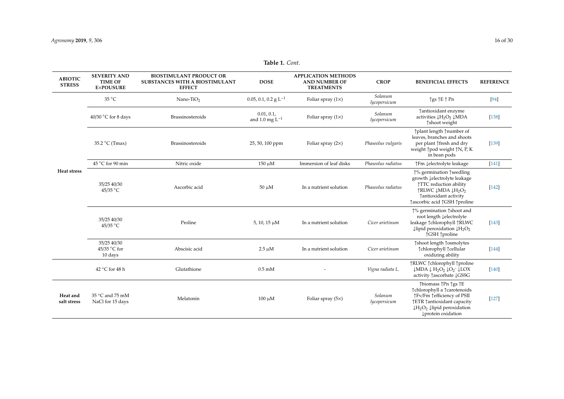| <b>ABIOTIC</b><br><b>STRESS</b> | <b>SEVERITY AND</b><br><b>TIME OF</b><br><b>EXPOUSURE</b> | <b>BIOSTIMULANT PRODUCT OR</b><br>SUBSTANCES WITH A BIOSTIMULANT<br><b>EFFECT</b> | <b>DOSE</b>                       | <b>APPLICATION METHODS</b><br><b>AND NUMBER OF</b><br><b>TREATMENTS</b> | <b>CROP</b>             | <b>BENEFICIAL EFFECTS</b>                                                                                                                                                                                             | <b>REFERENCE</b> |
|---------------------------------|-----------------------------------------------------------|-----------------------------------------------------------------------------------|-----------------------------------|-------------------------------------------------------------------------|-------------------------|-----------------------------------------------------------------------------------------------------------------------------------------------------------------------------------------------------------------------|------------------|
|                                 | $35^{\circ}$ C                                            | Nano-TiO <sub>2</sub>                                                             | $0.05, 0.1, 0.2 \text{ g L}^{-1}$ | Foliar spray $(1\times)$                                                | Solanum<br>lycopersicum | $\uparrow$ gs $\uparrow$ E $\uparrow$ Pn                                                                                                                                                                              | $[94]$           |
|                                 | 40/30 °C for 8 days                                       | Brassinosteroids                                                                  | 0.01, 0.1,<br>and 1.0 mg $L^{-1}$ | Foliar spray $(1\times)$                                                | Solanum<br>lycopersicum | ↑ antioxidant enzyme<br>activities $\downarrow$ H <sub>2</sub> O <sub>2</sub> $\downarrow$ MDA<br>↑shoot weight                                                                                                       | $[138]$          |
|                                 | 35.2 °C (Tmax)                                            | Brassinosteroids                                                                  | 25, 50, 100 ppm                   | Foliar spray $(2\times)$                                                | Phaseolus vulgaris      | ↑ plant length ↑ number of<br>leaves, branches and shoots<br>per plant 1fresh and dry<br>weight $\uparrow$ pod weight $\uparrow$ N, P, K<br>in bean pods                                                              | [139]            |
|                                 | 45 °C for 90 min                                          | Nitric oxide                                                                      | $150 \mu M$                       | Immersion of leaf disks                                                 | Phaseolus radiatus      | ↑Fm ↓electrolyte leakage                                                                                                                                                                                              | $[141]$          |
| <b>Heat stress</b>              | 35/25 40/30<br>45/35 °C                                   | Ascorbic acid                                                                     | $50 \mu M$                        | In a nutrient solution                                                  | Phaseolus radiatus      | ↑% germination ↑ seedling<br>growth Jelectrolyte leakage<br>↑TTC reduction ability<br>↑RLWC JMDA JH <sub>2</sub> O <sub>2</sub><br>Tantioxidant activity<br>↑ascorbic acid ↑GSH ↑proline                              | $[142]$          |
|                                 | 35/25 40/30<br>45/35 °C                                   | Proline                                                                           | $5, 10, 15 \mu M$                 | In a nutrient solution                                                  | Cicer arietinum         | ↑% germination ↑ shoot and<br>root length <b>Lelectrolyte</b><br>leakage ^chlorophyll ^RLWC<br>$\downarrow$ lipid peroxidation $\downarrow$ H <sub>2</sub> O <sub>2</sub><br>↑GSH ↑proline                            | $[143]$          |
|                                 | 35/25 40/30<br>45/35 °C for<br>10 days                    | Abscisic acid                                                                     | $2.5 \mu M$                       | In a nutrient solution                                                  | Cicer arietinum         | ↑shoot length ↑osmolytes<br>↑chlorophyll ↑cellular<br>oxidizing ability                                                                                                                                               | [144]            |
|                                 | 42 °C for 48 h                                            | Glutathione                                                                       | $0.5 \text{ mM}$                  |                                                                         | Vigna radiata L.        | ↑RLWC ↑chlorophyll ↑proline<br>$\downarrow$ MDA $\downarrow$ H <sub>2</sub> O <sub>2</sub> $\downarrow$ O <sub>2</sub> <sup>-</sup> $\downarrow$ LOX<br>activity Tascorbate LGSSG                                     | $[140]$          |
| Heat and<br>salt stress         | 35 °C and 75 mM<br>NaCl for 15 days                       | Melatonin                                                                         | $100 \mu M$                       | Foliar spray $(5\times)$                                                | Solanum<br>lycopersicum | ↑biomass ↑Pn ↑gs ↑E<br>↑chlorophyll a ↑carotenoids<br>↑Fv/Fm ↑ efficiency of PSII<br>↑ETR ↑ antioxidant capacity<br>$\downarrow$ H <sub>2</sub> O <sub>2</sub> $\downarrow$ lipid peroxidation<br>I protein oxidation | $[127]$          |

**Table 1.** *Cont.*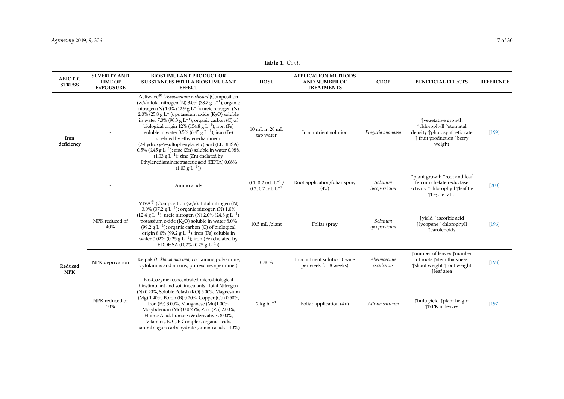| <b>ABIOTIC</b><br><b>STRESS</b> | <b>SEVERITY AND</b><br><b>TIME OF</b><br><b>EXPOUSURE</b> | <b>BIOSTIMULANT PRODUCT OR</b><br>SUBSTANCES WITH A BIOSTIMULANT<br><b>EFFECT</b>                                                                                                                                                                                                                                                                                                                                                                                                                                                                                                                                                                                                                                         | <b>DOSE</b>                                           | <b>APPLICATION METHODS</b><br><b>AND NUMBER OF</b><br><b>TREATMENTS</b> | <b>CROP</b>               | <b>BENEFICIAL EFFECTS</b>                                                                                                             | <b>REFERENCE</b> |
|---------------------------------|-----------------------------------------------------------|---------------------------------------------------------------------------------------------------------------------------------------------------------------------------------------------------------------------------------------------------------------------------------------------------------------------------------------------------------------------------------------------------------------------------------------------------------------------------------------------------------------------------------------------------------------------------------------------------------------------------------------------------------------------------------------------------------------------------|-------------------------------------------------------|-------------------------------------------------------------------------|---------------------------|---------------------------------------------------------------------------------------------------------------------------------------|------------------|
| Iron<br>deficiency              |                                                           | Actiwave® (Ascophyllum nodosum)(Composition<br>(w/v): total nitrogen (N) 3.0% (38.7 g $L^{-1}$ ); organic<br>nitrogen (N) $1.0\%$ (12.9 g L <sup>-1</sup> ); ureic nitrogen (N)<br>2.0% (25.8 g $L^{-1}$ ); potassium oxide (K <sub>2</sub> O) soluble<br>in water 7.0% (90.3 g $L^{-1}$ ); organic carbon (C) of<br>biological origin 12% (154.8 g $L^{-1}$ ); iron (Fe)<br>soluble in water 0.5% (6.45 g $L^{-1}$ ); iron (Fe)<br>chelated by ethylenediaminedi<br>(2-hydroxy-5-sulfophenylacetic) acid (EDDHSA)<br>0.5% (6.45 g L <sup>-1</sup> ); zinc (Zn) soluble in water 0.08%<br>$(1.03 \text{ g L}^{-1})$ ; zinc (Zn) chelated by<br>Ethylenediaminetetraacetic acid (EDTA) 0.08%<br>$(1.03 \text{ g L}^{-1}))$ | 10 mL in 20 mL<br>tap water                           | In a nutrient solution                                                  | Fragaria ananassa         | ↑vegetative growth<br>↑chlorophyll ↑stomatal<br>density <i>\photosynthetic</i> rate<br>↑ fruit production ↑berry<br>weight            | $[199]$          |
|                                 |                                                           | Amino acids                                                                                                                                                                                                                                                                                                                                                                                                                                                                                                                                                                                                                                                                                                               | $0.1, 0.2$ mL $L^{-1}$ /<br>$0.2$ , $0.7$ mL $L^{-1}$ | Root application/foliar spray<br>$(4\times)$                            | Solanum<br>lycopersicum   | ↑ plant growth ↑ root and leaf<br>ferrum chelate reductase<br>activity ^chlorophyll ^leaf Fe<br>$\uparrow$ Fe <sub>2</sub> : Fe ratio | [200]            |
| Reduced<br>NPK                  | NPK reduced of<br>40%                                     | VIVA <sup>®</sup> (Composition (w/v): total nitrogen (N)<br>3.0% (37.2 g $L^{-1}$ ); organic nitrogen (N) 1.0%<br>$(12.4 \text{ g } L^{-1})$ ; ureic nitrogen (N) 2.0% (24.8 g L <sup>-1</sup> );<br>potassium oxide ( $K_2O$ ) soluble in water 8.0%<br>(99.2 g $L^{-1}$ ); organic carbon (C) of biological<br>origin 8.0% (99.2 g $L^{-1}$ ); iron (Fe) soluble in<br>water 0.02% (0.25 $g$ L <sup>-1</sup> ); iron (Fe) chelated by<br>EDDHSA 0.02% (0.25 g $L^{-1}$ ))                                                                                                                                                                                                                                               | $10.5$ mL /plant                                      | Foliar spray                                                            | Solanum<br>lycopersicum   | ↑yield ↑ascorbic acid<br>↑lycopene ↑ chlorophyll<br><b>T</b> carotenoids                                                              | $[196]$          |
|                                 | NPK deprivation                                           | Kelpak (Ecklonia maxima, containing polyamine,<br>cytokinins and auxins, putrescine, spermine)                                                                                                                                                                                                                                                                                                                                                                                                                                                                                                                                                                                                                            | 0.40%                                                 | In a nutrient solution (twice<br>per week for 8 weeks)                  | Abelmoschus<br>esculentus | ↑number of leaves ↑number<br>of roots 1stem thickness<br>↑shoot weight ↑root weight<br>↑leaf area                                     | [198]            |
|                                 | NPK reduced of<br>50%                                     | Bio-Cozyme (concentrated micro-biological<br>biostimulant and soil inoculants. Total Nitrogen<br>(N) 0.20%, Soluble Potash (KO) 5.00%, Magnesium<br>(Mg) 1.40%, Boron (B) 0.20%, Copper (Cu) 0.50%,<br>Iron (Fe) 3.00%, Manganese (Mn)1.00%,<br>Molybdenum (Mo) 0.0.25%, Zinc (Zn) 2.00%,<br>Humic Acid, humates & derivatives 8.00%,<br>Vitamins, E, C, B Complex, organic acids,<br>natural sugars carbohydrates, amino acids 1.40%)                                                                                                                                                                                                                                                                                    | $2 \text{ kg}$ ha <sup>-1</sup>                       | Foliar application $(4\times)$                                          | Allium sativum            | ↑bulb yield ↑ plant height<br>↑NPK in leaves                                                                                          | $[197]$          |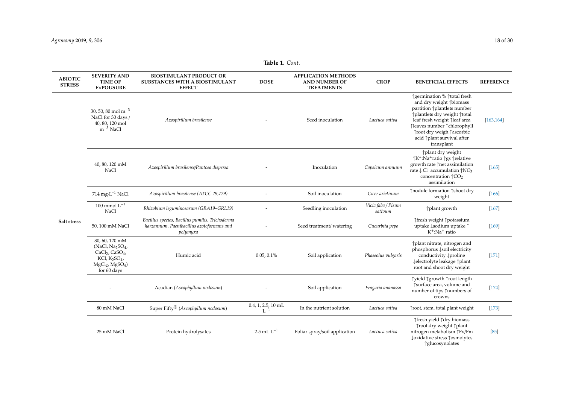| <b>ABIOTIC</b><br><b>STRESS</b> | <b>SEVERITY AND</b><br><b>TIME OF</b><br><b>EXPOUSURE</b>                                                                                                    | <b>BIOSTIMULANT PRODUCT OR</b><br>SUBSTANCES WITH A BIOSTIMULANT<br><b>EFFECT</b>                        | <b>DOSE</b>                       | <b>APPLICATION METHODS</b><br><b>AND NUMBER OF</b><br><b>TREATMENTS</b> | <b>CROP</b>                   | <b>BENEFICIAL EFFECTS</b>                                                                                                                                                                                                                                               | <b>REFERENCE</b> |
|---------------------------------|--------------------------------------------------------------------------------------------------------------------------------------------------------------|----------------------------------------------------------------------------------------------------------|-----------------------------------|-------------------------------------------------------------------------|-------------------------------|-------------------------------------------------------------------------------------------------------------------------------------------------------------------------------------------------------------------------------------------------------------------------|------------------|
| Salt stress                     | 30, 50, 80 mol m <sup>-3</sup><br>NaCl for 30 days /<br>40, 80, 120 mol<br>$m^{-3}$ NaCl                                                                     | Azospirillum brasilense                                                                                  |                                   | Seed inoculation                                                        | Lactuca sativa                | ↑ germination % ↑ total fresh<br>and dry weight 1biomass<br>partition 1 plantlets number<br>↑plantlets dry weight ↑total<br>leaf fresh weight 1 leaf area<br>↑leaves number ↑chlorophyll<br>↑root dry weigh ↑ascorbic<br>acid <i>plant</i> survival after<br>transplant | [163, 164]       |
|                                 | 40, 80, 120 mM<br>NaCl                                                                                                                                       | Azospirillum brasilense/Pantoea dispersa                                                                 |                                   | Inoculation                                                             | Capsicum annuum               | ↑ plant dry weight<br>$\uparrow K^+$ :Na <sup>+</sup> ratio $\uparrow$ gs $\uparrow$ relative<br>growth rate 1net assimilation<br>rate J Cl <sup>-</sup> accumulation 1NO <sub>3</sub> <sup>-</sup><br>concentration $\uparrow$ CO <sub>2</sub><br>assimilation         | $[165]$          |
|                                 | 714 mg· $L^{-1}$ NaCl                                                                                                                                        | Azospirillum brasilense (ATCC 29,729)                                                                    |                                   | Soil inoculation                                                        | Cicer arietinum               | ↑ nodule formation ↑ shoot dry<br>weight                                                                                                                                                                                                                                | $[166]$          |
|                                 | $100$ mmol $L^{-1}$<br><b>NaCl</b>                                                                                                                           | Rhizobium leguminosarum (GRA19-GRL19)                                                                    |                                   | Seedling inoculation                                                    | Vicia faba / Pisum<br>sativum | ↑ plant growth                                                                                                                                                                                                                                                          | $[167]$          |
|                                 | 50, 100 mM NaCl                                                                                                                                              | Bacillus species, Bacillus pumilis, Trichoderma<br>harzannum, Paenibacillus azotoformans and<br>polymyxa |                                   | Seed treatment/watering                                                 | Cucurbita pepo                | ↑fresh weight ↑potassium<br>uptake Jsodium uptake 1<br>$K^+$ :Na <sup>+</sup> ratio                                                                                                                                                                                     | $[169]$          |
|                                 | 30, 60, 120 mM<br>(NaCl, Na <sub>2</sub> SO <sub>4</sub> ,<br>$CaCl2, CaSO4$ ,<br>KCl, $K_2SO_4$ ,<br>MgCl <sub>2</sub> , MgSO <sub>4</sub> )<br>for 60 days | Humic acid                                                                                               | $0.05, 0.1\%$                     | Soil application                                                        | Phaseolus vulgaris            | ↑ plant nitrate, nitrogen and<br>phosphorus Jsoil electricity<br>conductivity <i>Įproline</i><br>↓ electrolyte leakage ↑ plant<br>root and shoot dry weight                                                                                                             | $[171]$          |
|                                 |                                                                                                                                                              | Acadian (Ascophyllum nodosum)                                                                            |                                   | Soil application                                                        | Fragaria ananassa             | ↑vield ↑growth ↑root length<br>↑surface area, volume and<br>number of tips $\uparrow$ numbers of<br>crowns                                                                                                                                                              | $[174]$          |
|                                 | 80 mM NaCl                                                                                                                                                   | Super Fifty® (Ascophyllum nodosum)                                                                       | $0.4$ , 1, 2.5, 10 mL<br>$I^{-1}$ | In the nutrient solution                                                | Lactuca sativa                | ↑root, stem, total plant weight                                                                                                                                                                                                                                         | $[173]$          |
|                                 | 25 mM NaCl                                                                                                                                                   | Protein hydrolysates                                                                                     | $2.5$ mL $L^{-1}$                 | Foliar spray/soil application                                           | Lactuca sativa                | ↑fresh yield ↑dry biomass<br>↑root dry weight ↑ plant<br>nitrogen metabolism 1 Fv/Fm<br>Loxidative stress ^osmolytes<br>↑ glucosynolates                                                                                                                                | $[85]$           |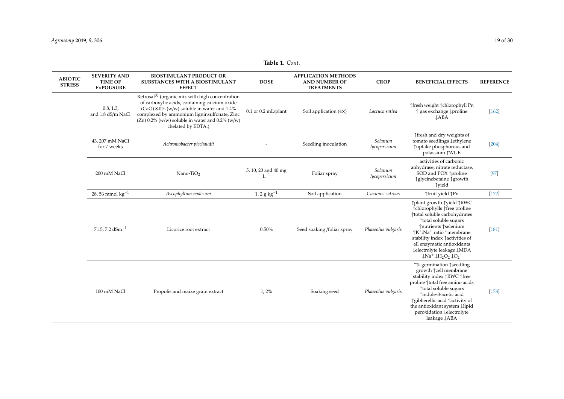| <b>ABIOTIC</b><br><b>STRESS</b> | <b>SEVERITY AND</b><br><b>TIME OF</b><br><b>EXPOUSURE</b> | <b>BIOSTIMULANT PRODUCT OR</b><br>SUBSTANCES WITH A BIOSTIMULANT<br><b>EFFECT</b>                                                                                                                                                                                             | <b>DOSE</b>                     | <b>APPLICATION METHODS</b><br><b>AND NUMBER OF</b><br><b>TREATMENTS</b> | <b>CROP</b>             | <b>BENEFICIAL EFFECTS</b>                                                                                                                                                                                                                                                                                                                                                                                                                          | <b>REFERENCE</b> |
|---------------------------------|-----------------------------------------------------------|-------------------------------------------------------------------------------------------------------------------------------------------------------------------------------------------------------------------------------------------------------------------------------|---------------------------------|-------------------------------------------------------------------------|-------------------------|----------------------------------------------------------------------------------------------------------------------------------------------------------------------------------------------------------------------------------------------------------------------------------------------------------------------------------------------------------------------------------------------------------------------------------------------------|------------------|
|                                 | 0.8, 1.3,<br>and 1.8 dS/m NaCl                            | Retrosal® (organic mix with high concentration<br>of carboxylic acids, containing calcium oxide<br>(CaO) $8.0\%$ (w/w) soluble in water and $1.4\%$<br>complexed by ammonium ligninsulfonate, Zinc<br>$(Zn)$ 0.2% (w/w) soluble in water and 0.2% (w/w)<br>chelated by EDTA.) | $0.1$ or $0.2$ mL/plant         | Soil application $(4\times)$                                            | Lactuca sativa          | ↑fresh weight ↑chlorophyll Pn<br>↑ gas exchange ↓ proline<br>$\downarrow$ ABA                                                                                                                                                                                                                                                                                                                                                                      | $[162]$          |
|                                 | 43, 207 mM NaCl<br>for 7 weeks                            | Achromobacter piechaudii                                                                                                                                                                                                                                                      |                                 | Seedling inoculation                                                    | Solanum<br>lycopersicum | ↑fresh and dry weights of<br>tomato seedlings lethylene<br>↑uptake phosphorous and<br>potassium 1WUE                                                                                                                                                                                                                                                                                                                                               | [204]            |
|                                 | 200 mM NaCl                                               | Nano-Ti $O_2$                                                                                                                                                                                                                                                                 | 5, 10, 20 and 40 mg<br>$L^{-1}$ | Foliar spray                                                            | Solanum<br>lycopersicum | activities of carbonic<br>anhydrase, nitrate reductase,<br>SOD and POX 1proline<br>↑ glycinebetaine ↑ growth<br>↑vield                                                                                                                                                                                                                                                                                                                             | $[97]$           |
|                                 | 28, 56 mmol $kg^{-1}$                                     | Ascophyllum nodosum                                                                                                                                                                                                                                                           | $1, 2 \text{ g kg}^{-1}$        | Soil application                                                        | Cucumis sativus         | ↑fruit yield ↑Pn                                                                                                                                                                                                                                                                                                                                                                                                                                   | $[172]$          |
|                                 | 7.15, 7.2 $\text{dSm}^{-1}$                               | Licorice root extract                                                                                                                                                                                                                                                         | 0.50%                           | Seed soaking /foliar spray                                              | Phaseolus vulgaris      | ↑plant growth ↑ yield ↑ RWC<br>↑ chlorophylls ↑ free proline<br>îtotal soluble carbohydrates<br>↑total soluble sugars<br>↑nutrients ↑selenium<br>$\uparrow$ K <sup>+</sup> :Na <sup>+</sup> ratio $\uparrow$ membrane<br>stability index <sup>1</sup> activities of<br>all enzymatic antioxidants<br>↓electrolyte leakage ↓MDA<br>$\downarrow$ Na <sup>+</sup> $\downarrow$ H <sub>2</sub> O <sub>2</sub> $\downarrow$ O <sub>2</sub> <sup>-</sup> | $[181]$          |
|                                 | 100 mM NaCl                                               | Propolis and maize grain extract                                                                                                                                                                                                                                              | 1,2%                            | Soaking seed                                                            | Phaseolus vulgaris      | ↑% germination ↑ seedling<br>growth 1cell membrane<br>stability index $\uparrow$ RWC $\uparrow$ free<br>proline 1total free amino acids<br>↑total soluble sugars<br>↑indole-3-acetic acid<br>↑ gibberellic acid ↑ activity of<br>the antioxidant system $\downarrow$ lipid<br>peroxidation Lelectrolyte<br>leakage <b>JABA</b>                                                                                                                     | $[178]$          |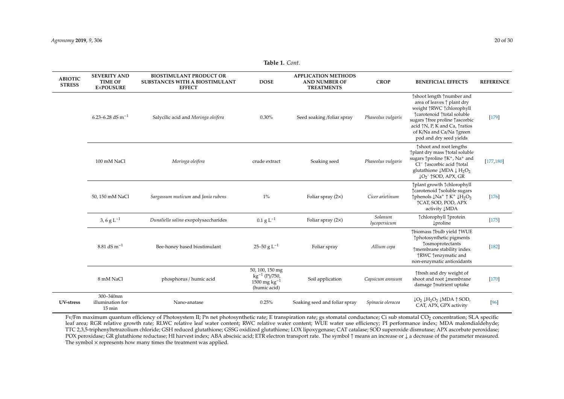| <b>ABIOTIC</b><br><b>STRESS</b> | <b>SEVERITY AND</b><br><b>TIME OF</b><br><b>EXPOUSURE</b> | <b>BIOSTIMULANT PRODUCT OR</b><br>SUBSTANCES WITH A BIOSTIMULANT<br><b>EFFECT</b> | <b>DOSE</b>                                                                        | <b>APPLICATION METHODS</b><br><b>AND NUMBER OF</b><br><b>TREATMENTS</b> | <b>CROP</b>             | <b>BENEFICIAL EFFECTS</b>                                                                                                                                                                                                                                                                                   | <b>REFERENCE</b> |
|---------------------------------|-----------------------------------------------------------|-----------------------------------------------------------------------------------|------------------------------------------------------------------------------------|-------------------------------------------------------------------------|-------------------------|-------------------------------------------------------------------------------------------------------------------------------------------------------------------------------------------------------------------------------------------------------------------------------------------------------------|------------------|
|                                 | 6.23–6.28 dS m <sup>-1</sup>                              | Salycilic acid and Moringa oleifera                                               | 0.30%                                                                              | Seed soaking /foliar spray                                              | Phaseolus vulgaris      | ↑shoot length ↑number and<br>area of leaves $\uparrow$ plant dry<br>weight 1RWC 1chlorophyll<br>↑ carotenoid ↑ total soluble<br>sugars 1free proline 1 ascorbic<br>acid $\uparrow$ N, P, K and Ca, $\uparrow$ ratios<br>of K/Na and Ca/Na 1 green<br>pod and dry seed yields                                | $[179]$          |
|                                 | 100 mM NaCl                                               | Moringa oleifera                                                                  | crude extract                                                                      | Soaking seed                                                            | Phaseolus vulgaris      | ↑ shoot and root lengths<br>↑ plant dry mass ↑ total soluble<br>sugars $\uparrow$ proline $\uparrow$ K <sup>+</sup> , Na <sup>+</sup> and<br>Cl <sup>-</sup> Tascorbic acid 1total<br>glutathione $\downarrow$ MDA $\downarrow$ H <sub>2</sub> O <sub>2</sub><br>$LO2$ <sup>-</sup> $\uparrow$ SOD, APX, GR | [177, 180]       |
|                                 | 50, 150 mM NaCl                                           | Sargassum muticum and Jania rubens                                                | $1\%$                                                                              | Foliar spray $(2\times)$                                                | Cicer arietinum         | ↑plant growth ↑chlorophyll<br>↑ carotenoid ↑ soluble sugars<br>↑ phenols $\downarrow$ Na <sup>+</sup> ↑ K <sup>+</sup> $\downarrow$ H <sub>2</sub> O <sub>2</sub><br><b>TCAT, SOD, POD, APX</b><br>activity <b>JMDA</b>                                                                                     | $[176]$          |
|                                 | 3, 6 g $L^{-1}$                                           | Dunaliella salina exopolysaccharides                                              | $0.1 g L^{-1}$                                                                     | Foliar spray $(2\times)$                                                | Solanum<br>lycopersicum | ↑chlorophyll ↑protein<br><b>proline</b>                                                                                                                                                                                                                                                                     | $[175]$          |
|                                 | 8.81 dS $m^{-1}$                                          | Bee-honey based biostimulant                                                      | $25-50$ g L <sup>-1</sup>                                                          | Foliar spray                                                            | Allium cepa             | ↑biomass ↑bulb yield ↑WUE<br>↑ photosynthetic pigments<br><b>Tosmoprotectants</b><br>↑membrane stability index<br>↑RWC ↑enzymatic and<br>non-enzymatic antioxidants                                                                                                                                         | $[182]$          |
|                                 | 8 mM NaCl                                                 | phosphorus / humic acid                                                           | 50, 100, 150 mg<br>$kg^{-1}$ (P)/750,<br>$1500 \text{ mg kg}^{-1}$<br>(humic acid) | Soil application                                                        | Capsicum annuum         | ↑ fresh and dry weight of<br>shoot and root 1membrane<br>damage 1nutrient uptake                                                                                                                                                                                                                            | $[170]$          |
| <b>UV-stress</b>                | 300-340nm<br>illumination for<br>15 min                   | Nano-anatase                                                                      | 0.25%                                                                              | Soaking seed and foliar spray                                           | Spinacia oleracea       | $LO_2$ $LH_2O_2$ $LMDA \uparrow$ SOD,<br>CAT, APX, GPX activity                                                                                                                                                                                                                                             | [96]             |

**Table 1.** *Cont.*

<span id="page-19-0"></span>Fv/Fm maximum quantum efficiency of Photosystem II; Pn net photosynthetic rate; E transpiration rate; gs stomatal conductance; Ci sub stomatal CO<sub>2</sub> concentration; SLA specific leaf area; RGR relative growth rate; RLWC relative leaf water content; RWC relative water content; WUE water use efficiency; PI performance index; MDA malondialdehyde; TTC 2,3,5-triphenyltetrazolium chloride; GSH reduced glutathione; GSSG oxidized glutathione; LOX lipoxygenase; CAT catalase; SOD superoxide dismutase; APX ascorbate peroxidase; POX peroxidase; GR glutathione reductase; HI harvest index; ABA abscisic acid; ETR electron transport rate. The symbol ↑ means an increase or ↓ a decrease of the parameter measured. The symbol  $\times$  represents how many times the treatment was applied.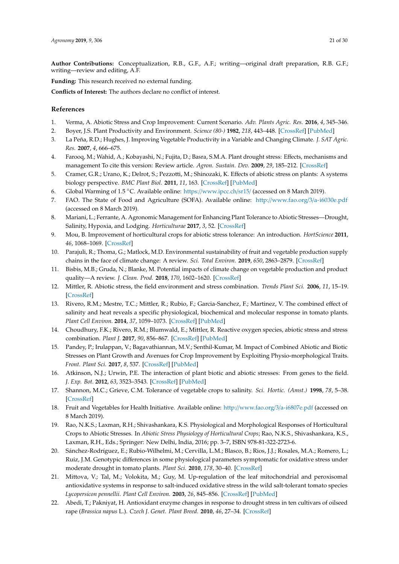**Author Contributions:** Conceptualization, R.B., G.F., A.F.; writing—original draft preparation, R.B. G.F.; writing—review and editing, A.F.

**Funding:** This research received no external funding.

**Conflicts of Interest:** The authors declare no conflict of interest.

## **References**

- <span id="page-20-0"></span>1. Verma, A. Abiotic Stress and Crop Improvement: Current Scenario. *Adv. Plants Agric. Res.* **2016**, *4*, 345–346.
- <span id="page-20-1"></span>2. Boyer, J.S. Plant Productivity and Environment. *Science (80-)* **1982**, *218*, 443–448. [\[CrossRef\]](http://dx.doi.org/10.1126/science.218.4571.443) [\[PubMed\]](http://www.ncbi.nlm.nih.gov/pubmed/17808529)
- <span id="page-20-2"></span>3. La Peña, R.D.; Hughes, J. Improving Vegetable Productivity in a Variable and Changing Climate. *J. SAT Agric. Res.* **2007**, *4*, 666–675.
- <span id="page-20-3"></span>4. Farooq, M.; Wahid, A.; Kobayashi, N.; Fujita, D.; Basra, S.M.A. Plant drought stress: Effects, mechanisms and management To cite this version: Review article. *Agron. Sustain. Dev.* **2009**, *29*, 185–212. [\[CrossRef\]](http://dx.doi.org/10.1051/agro:2008021)
- <span id="page-20-4"></span>5. Cramer, G.R.; Urano, K.; Delrot, S.; Pezzotti, M.; Shinozaki, K. Effects of abiotic stress on plants: A systems biology perspective. *BMC Plant Biol.* **2011**, *11*, 163. [\[CrossRef\]](http://dx.doi.org/10.1186/1471-2229-11-163) [\[PubMed\]](http://www.ncbi.nlm.nih.gov/pubmed/22094046)
- <span id="page-20-5"></span>6. Global Warming of 1.5 ◦C. Available online: https://[www.ipcc.ch](https://www.ipcc.ch/sr15/)/sr15/ (accessed on 8 March 2019).
- <span id="page-20-6"></span>7. FAO. The State of Food and Agriculture (SOFA). Available online: http://[www.fao.org](http://www.fao.org/3/a-i6030e.pdf)/3/a-i6030e.pdf (accessed on 8 March 2019).
- <span id="page-20-7"></span>8. Mariani, L.; Ferrante, A. Agronomic Management for Enhancing Plant Tolerance to Abiotic Stresses—Drought, Salinity, Hypoxia, and Lodging. *Horticulturae* **2017**, *3*, 52. [\[CrossRef\]](http://dx.doi.org/10.3390/horticulturae3040052)
- <span id="page-20-8"></span>9. Mou, B. Improvement of horticultural crops for abiotic stress tolerance: An introduction. *HortScience* **2011**, *46*, 1068–1069. [\[CrossRef\]](http://dx.doi.org/10.21273/HORTSCI.46.8.1068)
- <span id="page-20-9"></span>10. Parajuli, R.; Thoma, G.; Matlock, M.D. Environmental sustainability of fruit and vegetable production supply chains in the face of climate change: A review. *Sci. Total Environ.* **2019**, *650*, 2863–2879. [\[CrossRef\]](http://dx.doi.org/10.1016/j.scitotenv.2018.10.019)
- <span id="page-20-10"></span>11. Bisbis, M.B.; Gruda, N.; Blanke, M. Potential impacts of climate change on vegetable production and product quality—A review. *J. Clean. Prod.* **2018**, *170*, 1602–1620. [\[CrossRef\]](http://dx.doi.org/10.1016/j.jclepro.2017.09.224)
- <span id="page-20-11"></span>12. Mittler, R. Abiotic stress, the field environment and stress combination. *Trends Plant Sci.* **2006**, *11*, 15–19. [\[CrossRef\]](http://dx.doi.org/10.1016/j.tplants.2005.11.002)
- 13. Rivero, R.M.; Mestre, T.C.; Mittler, R.; Rubio, F.; Garcia-Sanchez, F.; Martinez, V. The combined effect of salinity and heat reveals a specific physiological, biochemical and molecular response in tomato plants. *Plant Cell Environ.* **2014**, *37*, 1059–1073. [\[CrossRef\]](http://dx.doi.org/10.1111/pce.12199) [\[PubMed\]](http://www.ncbi.nlm.nih.gov/pubmed/24028172)
- <span id="page-20-12"></span>14. Choudhury, F.K.; Rivero, R.M.; Blumwald, E.; Mittler, R. Reactive oxygen species, abiotic stress and stress combination. *Plant J.* **2017**, *90*, 856–867. [\[CrossRef\]](http://dx.doi.org/10.1111/tpj.13299) [\[PubMed\]](http://www.ncbi.nlm.nih.gov/pubmed/27801967)
- <span id="page-20-13"></span>15. Pandey, P.; Irulappan, V.; Bagavathiannan, M.V.; Senthil-Kumar, M. Impact of Combined Abiotic and Biotic Stresses on Plant Growth and Avenues for Crop Improvement by Exploiting Physio-morphological Traits. *Front. Plant Sci.* **2017**, *8*, 537. [\[CrossRef\]](http://dx.doi.org/10.3389/fpls.2017.00537) [\[PubMed\]](http://www.ncbi.nlm.nih.gov/pubmed/28458674)
- <span id="page-20-14"></span>16. Atkinson, N.J.; Urwin, P.E. The interaction of plant biotic and abiotic stresses: From genes to the field. *J. Exp. Bot.* **2012**, *63*, 3523–3543. [\[CrossRef\]](http://dx.doi.org/10.1093/jxb/ers100) [\[PubMed\]](http://www.ncbi.nlm.nih.gov/pubmed/22467407)
- <span id="page-20-15"></span>17. Shannon, M.C.; Grieve, C.M. Tolerance of vegetable crops to salinity. *Sci. Hortic. (Amst.)* **1998**, *78*, 5–38. [\[CrossRef\]](http://dx.doi.org/10.1016/S0304-4238(98)00189-7)
- <span id="page-20-16"></span>18. Fruit and Vegetables for Health Initiative. Available online: http://[www.fao.org](http://www.fao.org/3/a-i6807e.pdf)/3/a-i6807e.pdf (accessed on 8 March 2019).
- <span id="page-20-17"></span>19. Rao, N.K.S.; Laxman, R.H.; Shivashankara, K.S. Physiological and Morphological Responses of Horticultural Crops to Abiotic Stresses. In *Abiotic Stress Physiology of Horticultural Crops*; Rao, N.K.S., Shivashankara, K.S., Laxman, R.H., Eds.; Springer: New Delhi, India, 2016; pp. 3–7, ISBN 978-81-322-2723-6.
- <span id="page-20-18"></span>20. Sánchez-Rodríguez, E.; Rubio-Wilhelmi, M.; Cervilla, L.M.; Blasco, B.; Rios, J.J.; Rosales, M.A.; Romero, L.; Ruiz, J.M. Genotypic differences in some physiological parameters symptomatic for oxidative stress under moderate drought in tomato plants. *Plant Sci.* **2010**, *178*, 30–40. [\[CrossRef\]](http://dx.doi.org/10.1016/j.plantsci.2009.10.001)
- 21. Mittova, V.; Tal, M.; Volokita, M.; Guy, M. Up-regulation of the leaf mitochondrial and peroxisomal antioxidative systems in response to salt-induced oxidative stress in the wild salt-tolerant tomato species *Lycopersicon pennellii*. *Plant Cell Environ.* **2003**, *26*, 845–856. [\[CrossRef\]](http://dx.doi.org/10.1046/j.1365-3040.2003.01016.x) [\[PubMed\]](http://www.ncbi.nlm.nih.gov/pubmed/12803612)
- 22. Abedi, T.; Pakniyat, H. Antioxidant enzyme changes in response to drought stress in ten cultivars of oilseed rape (*Brassica napus* L.). *Czech J. Genet. Plant Breed.* **2010**, *46*, 27–34. [\[CrossRef\]](http://dx.doi.org/10.17221/67/2009-CJGPB)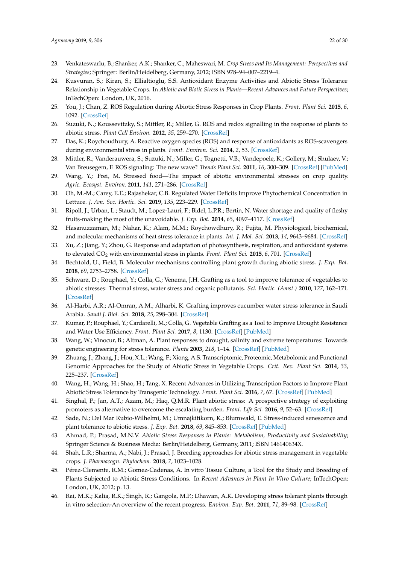- <span id="page-21-0"></span>23. Venkateswarlu, B.; Shanker, A.K.; Shanker, C.; Maheswari, M. *Crop Stress and Its Management: Perspectives and Strategies*; Springer: Berlin/Heidelberg, Germany, 2012; ISBN 978–94–007–2219–4.
- <span id="page-21-1"></span>24. Kusvuran, S.; Kiran, S.; Ellialtioglu, S.S. Antioxidant Enzyme Activities and Abiotic Stress Tolerance Relationship in Vegetable Crops. In *Abiotic and Biotic Stress in Plants—Recent Advances and Future Perspectives*; InTechOpen: London, UK, 2016.
- <span id="page-21-2"></span>25. You, J.; Chan, Z. ROS Regulation during Abiotic Stress Responses in Crop Plants. *Front. Plant Sci.* **2015**, *6*, 1092. [\[CrossRef\]](http://dx.doi.org/10.3389/fpls.2015.01092)
- 26. Suzuki, N.; Koussevitzky, S.; Mittler, R.; Miller, G. ROS and redox signalling in the response of plants to abiotic stress. *Plant Cell Environ.* **2012**, *35*, 259–270. [\[CrossRef\]](http://dx.doi.org/10.1111/j.1365-3040.2011.02336.x)
- 27. Das, K.; Roychoudhury, A. Reactive oxygen species (ROS) and response of antioxidants as ROS-scavengers during environmental stress in plants. *Front. Environ. Sci.* **2014**, *2*, 53. [\[CrossRef\]](http://dx.doi.org/10.3389/fenvs.2014.00053)
- <span id="page-21-3"></span>28. Mittler, R.; Vanderauwera, S.; Suzuki, N.; Miller, G.; Tognetti, V.B.; Vandepoele, K.; Gollery, M.; Shulaev, V.; Van Breusegem, F. ROS signaling: The new wave? *Trends Plant Sci.* **2011**, *16*, 300–309. [\[CrossRef\]](http://dx.doi.org/10.1016/j.tplants.2011.03.007) [\[PubMed\]](http://www.ncbi.nlm.nih.gov/pubmed/21482172)
- <span id="page-21-4"></span>29. Wang, Y.; Frei, M. Stressed food—The impact of abiotic environmental stresses on crop quality. *Agric. Ecosyst. Environ.* **2011**, *141*, 271–286. [\[CrossRef\]](http://dx.doi.org/10.1016/j.agee.2011.03.017)
- <span id="page-21-5"></span>30. Oh, M.-M.; Carey, E.E.; Rajashekar, C.B. Regulated Water Deficits Improve Phytochemical Concentration in Lettuce. *J. Am. Soc. Hortic. Sci.* **2019**, *135*, 223–229. [\[CrossRef\]](http://dx.doi.org/10.21273/JASHS.135.3.223)
- <span id="page-21-6"></span>31. Ripoll, J.; Urban, L.; Staudt, M.; Lopez-Lauri, F.; Bidel, L.P.R.; Bertin, N. Water shortage and quality of fleshy fruits-making the most of the unavoidable. *J. Exp. Bot.* **2014**, *65*, 4097–4117. [\[CrossRef\]](http://dx.doi.org/10.1093/jxb/eru197)
- <span id="page-21-7"></span>32. Hasanuzzaman, M.; Nahar, K.; Alam, M.M.; Roychowdhury, R.; Fujita, M. Physiological, biochemical, and molecular mechanisms of heat stress tolerance in plants. *Int. J. Mol. Sci.* **2013**, *14*, 9643–9684. [\[CrossRef\]](http://dx.doi.org/10.3390/ijms14059643)
- <span id="page-21-8"></span>33. Xu, Z.; Jiang, Y.; Zhou, G. Response and adaptation of photosynthesis, respiration, and antioxidant systems to elevated CO<sub>2</sub> with environmental stress in plants. *Front. Plant Sci.* 2015, 6, 701. [\[CrossRef\]](http://dx.doi.org/10.3389/fpls.2015.00701)
- <span id="page-21-9"></span>34. Bechtold, U.; Field, B. Molecular mechanisms controlling plant growth during abiotic stress. *J. Exp. Bot.* **2018**, *69*, 2753–2758. [\[CrossRef\]](http://dx.doi.org/10.1093/jxb/ery157)
- <span id="page-21-10"></span>35. Schwarz, D.; Rouphael, Y.; Colla, G.; Venema, J.H. Grafting as a tool to improve tolerance of vegetables to abiotic stresses: Thermal stress, water stress and organic pollutants. *Sci. Hortic. (Amst.)* **2010**, *127*, 162–171. [\[CrossRef\]](http://dx.doi.org/10.1016/j.scienta.2010.09.016)
- 36. Al-Harbi, A.R.; Al-Omran, A.M.; Alharbi, K. Grafting improves cucumber water stress tolerance in Saudi Arabia. *Saudi J. Biol. Sci.* **2018**, *25*, 298–304. [\[CrossRef\]](http://dx.doi.org/10.1016/j.sjbs.2017.10.025)
- <span id="page-21-11"></span>37. Kumar, P.; Rouphael, Y.; Cardarelli, M.; Colla, G. Vegetable Grafting as a Tool to Improve Drought Resistance and Water Use Efficiency. *Front. Plant Sci.* **2017**, *8*, 1130. [\[CrossRef\]](http://dx.doi.org/10.3389/fpls.2017.01130) [\[PubMed\]](http://www.ncbi.nlm.nih.gov/pubmed/28713405)
- <span id="page-21-12"></span>38. Wang, W.; Vinocur, B.; Altman, A. Plant responses to drought, salinity and extreme temperatures: Towards genetic engineering for stress tolerance. *Planta* **2003**, *218*, 1–14. [\[CrossRef\]](http://dx.doi.org/10.1007/s00425-003-1105-5) [\[PubMed\]](http://www.ncbi.nlm.nih.gov/pubmed/14513379)
- <span id="page-21-13"></span>39. Zhuang, J.; Zhang, J.; Hou, X.L.; Wang, F.; Xiong, A.S. Transcriptomic, Proteomic, Metabolomic and Functional Genomic Approaches for the Study of Abiotic Stress in Vegetable Crops. *Crit. Rev. Plant Sci.* **2014**, *33*, 225–237. [\[CrossRef\]](http://dx.doi.org/10.1080/07352689.2014.870420)
- 40. Wang, H.; Wang, H.; Shao, H.; Tang, X. Recent Advances in Utilizing Transcription Factors to Improve Plant Abiotic Stress Tolerance by Transgenic Technology. *Front. Plant Sci.* **2016**, *7*, 67. [\[CrossRef\]](http://dx.doi.org/10.3389/fpls.2016.00067) [\[PubMed\]](http://www.ncbi.nlm.nih.gov/pubmed/26904044)
- <span id="page-21-14"></span>41. Singhal, P.; Jan, A.T.; Azam, M.; Haq, Q.M.R. Plant abiotic stress: A prospective strategy of exploiting promoters as alternative to overcome the escalating burden. *Front. Life Sci.* **2016**, *9*, 52–63. [\[CrossRef\]](http://dx.doi.org/10.1080/21553769.2015.1077478)
- <span id="page-21-15"></span>42. Sade, N.; Del Mar Rubio-Wilhelmi, M.; Umnajkitikorn, K.; Blumwald, E. Stress-induced senescence and plant tolerance to abiotic stress. *J. Exp. Bot.* **2018**, *69*, 845–853. [\[CrossRef\]](http://dx.doi.org/10.1093/jxb/erx235) [\[PubMed\]](http://www.ncbi.nlm.nih.gov/pubmed/28992323)
- 43. Ahmad, P.; Prasad, M.N.V. *Abiotic Stress Responses in Plants: Metabolism, Productivity and Sustainability*; Springer Science & Business Media: Berlin/Heidelberg, Germany, 2011; ISBN 146140634X.
- <span id="page-21-16"></span>44. Shah, L.R.; Sharma, A.; Nabi, J.; Prasad, J. Breeding approaches for abiotic stress management in vegetable crops. *J. Pharmacogn. Phytochem.* **2018**, *7*, 1023–1028.
- <span id="page-21-17"></span>45. Pérez-Clemente, R.M.; Gomez-Cadenas, A. In vitro Tissue Culture, a Tool for the Study and Breeding of Plants Subjected to Abiotic Stress Conditions. In *Recent Advances in Plant In Vitro Culture*; InTechOpen: London, UK, 2012; p. 13.
- <span id="page-21-18"></span>46. Rai, M.K.; Kalia, R.K.; Singh, R.; Gangola, M.P.; Dhawan, A.K. Developing stress tolerant plants through in vitro selection-An overview of the recent progress. *Environ. Exp. Bot.* **2011**, *71*, 89–98. [\[CrossRef\]](http://dx.doi.org/10.1016/j.envexpbot.2010.10.021)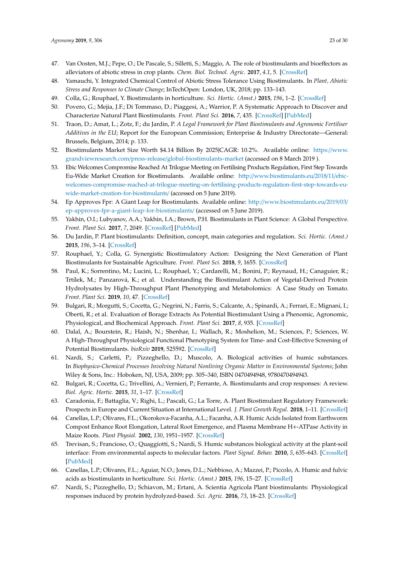- <span id="page-22-0"></span>47. Van Oosten, M.J.; Pepe, O.; De Pascale, S.; Silletti, S.; Maggio, A. The role of biostimulants and bioeffectors as alleviators of abiotic stress in crop plants. *Chem. Biol. Technol. Agric.* **2017**, *4.1*, 5. [\[CrossRef\]](http://dx.doi.org/10.1186/s40538-017-0089-5)
- 48. Yamauchi, Y. Integrated Chemical Control of Abiotic Stress Tolerance Using Biostimulants. In *Plant, Abiotic Stress and Responses to Climate Change*; InTechOpen: London, UK, 2018; pp. 133–143.
- <span id="page-22-1"></span>49. Colla, G.; Rouphael, Y. Biostimulants in horticulture. *Sci. Hortic. (Amst.)* **2015**, *196*, 1–2. [\[CrossRef\]](http://dx.doi.org/10.1016/j.scienta.2015.10.044)
- <span id="page-22-2"></span>50. Povero, G.; Mejia, J.F.; Di Tommaso, D.; Piaggesi, A.; Warrior, P. A Systematic Approach to Discover and Characterize Natural Plant Biostimulants. *Front. Plant Sci.* **2016**, *7*, 435. [\[CrossRef\]](http://dx.doi.org/10.3389/fpls.2016.00435) [\[PubMed\]](http://www.ncbi.nlm.nih.gov/pubmed/27092156)
- <span id="page-22-3"></span>51. Traon, D.; Amat, L.; Zotz, F.; du Jardin, P. *A Legal Framework for Plant Biostimulants and Agronomic Fertiliser Additives in the EU*; Report for the European Commission; Enterprise & Industry Directorate—General: Brussels, Belgium, 2014; p. 133.
- <span id="page-22-4"></span>52. Biostimulants Market Size Worth \$4.14 Billion By 2025|CAGR: 10.2%. Available online: https://[www.](https://www.grandviewresearch.com/press-release/global-biostimulants-market) grandviewresearch.com/press-release/[global-biostimulants-market](https://www.grandviewresearch.com/press-release/global-biostimulants-market) (accessed on 8 March 2019 ).
- <span id="page-22-5"></span>53. Ebic Welcomes Compromise Reached At Trilogue Meeting on Fertilising Products Regulation, First Step Towards Eu-Wide Market Creation for Biostimulants. Available online: http://[www.biostimulants.eu](http://www.biostimulants.eu/2018/11/ebic-welcomes-compromise-reached-at-trilogue-meeting-on-fertilising-products-regulation-first-step-towards-eu-wide-market-creation-for-biostimulants/)/2018/11/ebic[welcomes-compromise-reached-at-trilogue-meeting-on-fertilising-products-regulation-first-step-towards-eu](http://www.biostimulants.eu/2018/11/ebic-welcomes-compromise-reached-at-trilogue-meeting-on-fertilising-products-regulation-first-step-towards-eu-wide-market-creation-for-biostimulants/)[wide-market-creation-for-biostimulants](http://www.biostimulants.eu/2018/11/ebic-welcomes-compromise-reached-at-trilogue-meeting-on-fertilising-products-regulation-first-step-towards-eu-wide-market-creation-for-biostimulants/)/ (accessed on 5 June 2019).
- 54. Ep Approves Fpr: A Giant Leap for Biostimulants. Available online: http://[www.biostimulants.eu](http://www.biostimulants.eu/2019/03/ep-approves-fpr-a-giant-leap-for-biostimulants/)/2019/03/ [ep-approves-fpr-a-giant-leap-for-biostimulants](http://www.biostimulants.eu/2019/03/ep-approves-fpr-a-giant-leap-for-biostimulants/)/ (accessed on 5 June 2019).
- <span id="page-22-6"></span>55. Yakhin, O.I.; Lubyanov, A.A.; Yakhin, I.A.; Brown, P.H. Biostimulants in Plant Science: A Global Perspective. *Front. Plant Sci.* **2017**, *7*, 2049. [\[CrossRef\]](http://dx.doi.org/10.3389/fpls.2016.02049) [\[PubMed\]](http://www.ncbi.nlm.nih.gov/pubmed/28184225)
- <span id="page-22-7"></span>56. Du Jardin, P. Plant biostimulants: Definition, concept, main categories and regulation. *Sci. Hortic. (Amst.)* **2015**, *196*, 3–14. [\[CrossRef\]](http://dx.doi.org/10.1016/j.scienta.2015.09.021)
- <span id="page-22-8"></span>57. Rouphael, Y.; Colla, G. Synergistic Biostimulatory Action: Designing the Next Generation of Plant Biostimulants for Sustainable Agriculture. *Front. Plant Sci.* **2018**, *9*, 1655. [\[CrossRef\]](http://dx.doi.org/10.3389/fpls.2018.01655)
- <span id="page-22-9"></span>58. Paul, K.; Sorrentino, M.; Lucini, L.; Rouphael, Y.; Cardarelli, M.; Bonini, P.; Reynaud, H.; Canaguier, R.; Trtílek, M.; Panzarová, K.; et al. Understanding the Biostimulant Action of Vegetal-Derived Protein Hydrolysates by High-Throughput Plant Phenotyping and Metabolomics: A Case Study on Tomato. *Front. Plant Sci.* **2019**, *10*, 47. [\[CrossRef\]](http://dx.doi.org/10.3389/fpls.2019.00047)
- <span id="page-22-10"></span>59. Bulgari, R.; Morgutti, S.; Cocetta, G.; Negrini, N.; Farris, S.; Calcante, A.; Spinardi, A.; Ferrari, E.; Mignani, I.; Oberti, R.; et al. Evaluation of Borage Extracts As Potential Biostimulant Using a Phenomic, Agronomic, Physiological, and Biochemical Approach. *Front. Plant Sci.* **2017**, *8*, 935. [\[CrossRef\]](http://dx.doi.org/10.3389/fpls.2017.00935)
- 60. Dalal, A.; Bourstein, R.; Haish, N.; Shenhar, I.; Wallach, R.; Moshelion, M.; Sciences, P.; Sciences, W. A High-Throughput Physiological Functional Phenotyping System for Time- and Cost-Effective Screening of Potential Biostimulants. *bioRxiv* **2019**, 525592. [\[CrossRef\]](http://dx.doi.org/10.1101/525592)
- <span id="page-22-11"></span>61. Nardi, S.; Carletti, P.; Pizzeghello, D.; Muscolo, A. Biological activities of humic substances. In *Biophysico-Chemical Processes Involving Natural Nonliving Organic Matter in Environmental Systems*; John Wiley & Sons, Inc.: Hoboken, NJ, USA, 2009; pp. 305–340, ISBN 0470494948, 9780470494943.
- <span id="page-22-12"></span>62. Bulgari, R.; Cocetta, G.; Trivellini, A.; Vernieri, P.; Ferrante, A. Biostimulants and crop responses: A review. *Biol. Agric. Hortic.* **2015**, *31*, 1–17. [\[CrossRef\]](http://dx.doi.org/10.1080/01448765.2014.964649)
- <span id="page-22-13"></span>63. Caradonia, F.; Battaglia, V.; Righi, L.; Pascali, G.; La Torre, A. Plant Biostimulant Regulatory Framework: Prospects in Europe and Current Situation at International Level. *J. Plant Growth Regul.* **2018**, 1–11. [\[CrossRef\]](http://dx.doi.org/10.1007/s00344-018-9853-4)
- <span id="page-22-14"></span>64. Canellas, L.P.; Olivares, F.L.; Okorokova-Facanha, A.L.; Facanha, A.R. Humic Acids Isolated from Earthworm Compost Enhance Root Elongation, Lateral Root Emergence, and Plasma Membrane H+-ATPase Activity in Maize Roots. *Plant Physiol.* **2002**, *130*, 1951–1957. [\[CrossRef\]](http://dx.doi.org/10.1104/pp.007088)
- <span id="page-22-15"></span>65. Trevisan, S.; Francioso, O.; Quaggiotti, S.; Nardi, S. Humic substances biological activity at the plant-soil interface: From environmental aspects to molecular factors. *Plant Signal. Behav.* **2010**, *5*, 635–643. [\[CrossRef\]](http://dx.doi.org/10.4161/psb.5.6.11211) [\[PubMed\]](http://www.ncbi.nlm.nih.gov/pubmed/20495384)
- <span id="page-22-16"></span>66. Canellas, L.P.; Olivares, F.L.; Aguiar, N.O.; Jones, D.L.; Nebbioso, A.; Mazzei, P.; Piccolo, A. Humic and fulvic acids as biostimulants in horticulture. *Sci. Hortic. (Amst.)* **2015**, *196*, 15–27. [\[CrossRef\]](http://dx.doi.org/10.1016/j.scienta.2015.09.013)
- <span id="page-22-17"></span>67. Nardi, S.; Pizzeghello, D.; Schiavon, M.; Ertani, A. Scientia Agricola Plant biostimulants: Physiological responses induced by protein hydrolyzed-based. *Sci. Agric.* **2016**, *73*, 18–23. [\[CrossRef\]](http://dx.doi.org/10.1590/0103-9016-2015-0006)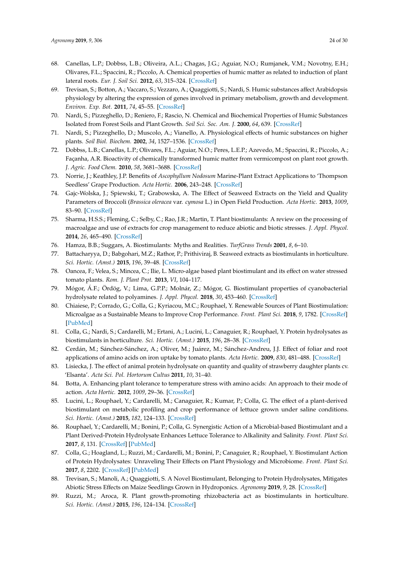- <span id="page-23-0"></span>68. Canellas, L.P.; Dobbss, L.B.; Oliveira, A.L.; Chagas, J.G.; Aguiar, N.O.; Rumjanek, V.M.; Novotny, E.H.; Olivares, F.L.; Spaccini, R.; Piccolo, A. Chemical properties of humic matter as related to induction of plant lateral roots. *Eur. J. Soil Sci.* **2012**, *63*, 315–324. [\[CrossRef\]](http://dx.doi.org/10.1111/j.1365-2389.2012.01439.x)
- <span id="page-23-1"></span>69. Trevisan, S.; Botton, A.; Vaccaro, S.; Vezzaro, A.; Quaggiotti, S.; Nardi, S. Humic substances affect Arabidopsis physiology by altering the expression of genes involved in primary metabolism, growth and development. *Environ. Exp. Bot.* **2011**, *74*, 45–55. [\[CrossRef\]](http://dx.doi.org/10.1016/j.envexpbot.2011.04.017)
- <span id="page-23-2"></span>70. Nardi, S.; Pizzeghello, D.; Reniero, F.; Rascio, N. Chemical and Biochemical Properties of Humic Substances Isolated from Forest Soils and Plant Growth. *Soil Sci. Soc. Am. J.* **2000**, *64*, 639. [\[CrossRef\]](http://dx.doi.org/10.2136/sssaj2000.642639x)
- 71. Nardi, S.; Pizzeghello, D.; Muscolo, A.; Vianello, A. Physiological effects of humic substances on higher plants. *Soil Biol. Biochem.* **2002**, *34*, 1527–1536. [\[CrossRef\]](http://dx.doi.org/10.1016/S0038-0717(02)00174-8)
- <span id="page-23-3"></span>72. Dobbss, L.B.; Canellas, L.P.; Olivares, F.L.; Aguiar, N.O.; Peres, L.E.P.; Azevedo, M.; Spaccini, R.; Piccolo, A.; Façanha, A.R. Bioactivity of chemically transformed humic matter from vermicompost on plant root growth. *J. Agric. Food Chem.* **2010**, *58*, 3681–3688. [\[CrossRef\]](http://dx.doi.org/10.1021/jf904385c)
- <span id="page-23-4"></span>73. Norrie, J.; Keathley, J.P. Benefits of *Ascophyllum Nodosum* Marine-Plant Extract Applications to 'Thompson Seedless' Grape Production. *Acta Hortic.* **2006**, 243–248. [\[CrossRef\]](http://dx.doi.org/10.17660/ActaHortic.2006.727.27)
- <span id="page-23-17"></span>74. Gajc-Wolska, J.; Spiewski, T.; Grabowska, A. The Effect of Seaweed Extracts on the Yield and Quality Parameters of Broccoli (*Brassica oleracea* var. *cymosa* L.) in Open Field Production. *Acta Hortic.* **2013**, *1009*, 83–90. [\[CrossRef\]](http://dx.doi.org/10.17660/ActaHortic.2013.1009.9)
- <span id="page-23-5"></span>75. Sharma, H.S.S.; Fleming, C.; Selby, C.; Rao, J.R.; Martin, T. Plant biostimulants: A review on the processing of macroalgae and use of extracts for crop management to reduce abiotic and biotic stresses. *J. Appl. Phycol.* **2014**, *26*, 465–490. [\[CrossRef\]](http://dx.doi.org/10.1007/s10811-013-0101-9)
- <span id="page-23-18"></span><span id="page-23-6"></span>76. Hamza, B.B.; Suggars, A. Biostimulants: Myths and Realities. *TurfGrass Trends* **2001**, *8*, 6–10.
- <span id="page-23-7"></span>77. Battacharyya, D.; Babgohari, M.Z.; Rathor, P.; Prithiviraj, B. Seaweed extracts as biostimulants in horticulture. *Sci. Hortic. (Amst.)* **2015**, *196*, 39–48. [\[CrossRef\]](http://dx.doi.org/10.1016/j.scienta.2015.09.012)
- <span id="page-23-8"></span>78. Oancea, F.; Velea, S.; Mincea, C.; Ilie, L. Micro-algae based plant biostimulant and its effect on water stressed tomato plants. *Rom. J. Plant Prot.* **2013**, *VI*, 104–117.
- 79. Mógor, Á.F.; Ördög, V.; Lima, G.P.P.; Molnár, Z.; Mógor, G. Biostimulant properties of cyanobacterial hydrolysate related to polyamines. *J. Appl. Phycol.* **2018**, *30*, 453–460. [\[CrossRef\]](http://dx.doi.org/10.1007/s10811-017-1242-z)
- <span id="page-23-9"></span>80. Chiaiese, P.; Corrado, G.; Colla, G.; Kyriacou, M.C.; Rouphael, Y. Renewable Sources of Plant Biostimulation: Microalgae as a Sustainable Means to Improve Crop Performance. *Front. Plant Sci.* **2018**, *9*, 1782. [\[CrossRef\]](http://dx.doi.org/10.3389/fpls.2018.01782) [\[PubMed\]](http://www.ncbi.nlm.nih.gov/pubmed/30581447)
- <span id="page-23-10"></span>81. Colla, G.; Nardi, S.; Cardarelli, M.; Ertani, A.; Lucini, L.; Canaguier, R.; Rouphael, Y. Protein hydrolysates as biostimulants in horticulture. *Sci. Hortic. (Amst.)* **2015**, *196*, 28–38. [\[CrossRef\]](http://dx.doi.org/10.1016/j.scienta.2015.08.037)
- <span id="page-23-11"></span>82. Cerdán, M.; Sánchez-Sánchez, A.; Oliver, M.; Juárez, M.; Sánchez-Andreu, J.J. Effect of foliar and root applications of amino acids on iron uptake by tomato plants. *Acta Hortic.* **2009**, *830*, 481–488. [\[CrossRef\]](http://dx.doi.org/10.17660/ActaHortic.2009.830.68)
- <span id="page-23-12"></span>83. Lisiecka, J. The effect of animal protein hydrolysate on quantity and quality of strawberry daughter plants cv. 'Elsanta'. *Acta Sci. Pol. Hortorum Cultus* **2011**, *10*, 31–40.
- <span id="page-23-13"></span>84. Botta, A. Enhancing plant tolerance to temperature stress with amino acids: An approach to their mode of action. *Acta Hortic.* **2012**, *1009*, 29–36. [\[CrossRef\]](http://dx.doi.org/10.17660/ActaHortic.2013.1009.1)
- <span id="page-23-14"></span>85. Lucini, L.; Rouphael, Y.; Cardarelli, M.; Canaguier, R.; Kumar, P.; Colla, G. The effect of a plant-derived biostimulant on metabolic profiling and crop performance of lettuce grown under saline conditions. *Sci. Hortic. (Amst.)* **2015**, *182*, 124–133. [\[CrossRef\]](http://dx.doi.org/10.1016/j.scienta.2014.11.022)
- 86. Rouphael, Y.; Cardarelli, M.; Bonini, P.; Colla, G. Synergistic Action of a Microbial-based Biostimulant and a Plant Derived-Protein Hydrolysate Enhances Lettuce Tolerance to Alkalinity and Salinity. *Front. Plant Sci.* **2017**, *8*, 131. [\[CrossRef\]](http://dx.doi.org/10.3389/fpls.2017.00131) [\[PubMed\]](http://www.ncbi.nlm.nih.gov/pubmed/28223995)
- 87. Colla, G.; Hoagland, L.; Ruzzi, M.; Cardarelli, M.; Bonini, P.; Canaguier, R.; Rouphael, Y. Biostimulant Action of Protein Hydrolysates: Unraveling Their Effects on Plant Physiology and Microbiome. *Front. Plant Sci.* **2017**, *8*, 2202. [\[CrossRef\]](http://dx.doi.org/10.3389/fpls.2017.02202) [\[PubMed\]](http://www.ncbi.nlm.nih.gov/pubmed/29312427)
- <span id="page-23-15"></span>88. Trevisan, S.; Manoli, A.; Quaggiotti, S. A Novel Biostimulant, Belonging to Protein Hydrolysates, Mitigates Abiotic Stress Effects on Maize Seedlings Grown in Hydroponics. *Agronomy* **2019**, *9*, 28. [\[CrossRef\]](http://dx.doi.org/10.3390/agronomy9010028)
- <span id="page-23-16"></span>89. Ruzzi, M.; Aroca, R. Plant growth-promoting rhizobacteria act as biostimulants in horticulture. *Sci. Hortic. (Amst.)* **2015**, *196*, 124–134. [\[CrossRef\]](http://dx.doi.org/10.1016/j.scienta.2015.08.042)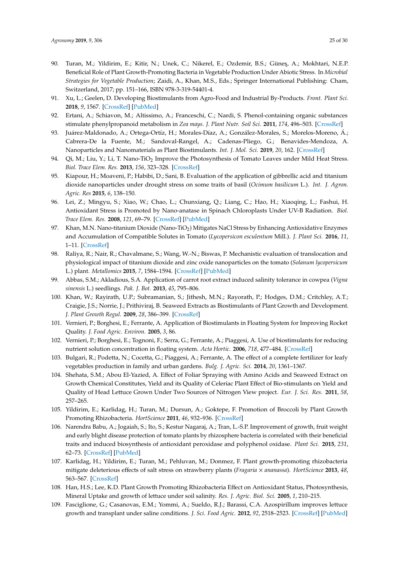- <span id="page-24-21"></span><span id="page-24-20"></span><span id="page-24-19"></span><span id="page-24-18"></span><span id="page-24-0"></span>90. Turan, M.; Yildirim, E.; Kitir, N.; Unek, C.; Nikerel, E.; Ozdemir, B.S.; Güneş, A.; Mokhtari, N.E.P. Beneficial Role of Plant Growth-Promoting Bacteria in Vegetable Production Under Abiotic Stress. In *Microbial Strategies for Vegetable Production*; Zaidi, A., Khan, M.S., Eds.; Springer International Publishing: Cham, Switzerland, 2017; pp. 151–166, ISBN 978-3-319-54401-4.
- <span id="page-24-1"></span>91. Xu, L.; Geelen, D. Developing Biostimulants from Agro-Food and Industrial By-Products. *Front. Plant Sci.* **2018**, *9*, 1567. [\[CrossRef\]](http://dx.doi.org/10.3389/fpls.2018.01567) [\[PubMed\]](http://www.ncbi.nlm.nih.gov/pubmed/30425724)
- <span id="page-24-2"></span>92. Ertani, A.; Schiavon, M.; Altissimo, A.; Franceschi, C.; Nardi, S. Phenol-containing organic substances stimulate phenylpropanoid metabolism in *Zea mays*. *J. Plant Nutr. Soil Sci.* **2011**, *174*, 496–503. [\[CrossRef\]](http://dx.doi.org/10.1002/jpln.201000075)
- <span id="page-24-3"></span>93. Juárez-Maldonado, A.; Ortega-Ortíz, H.; Morales-Díaz, A.; González-Morales, S.; Morelos-Moreno, Á.; Cabrera-De la Fuente, M.; Sandoval-Rangel, A.; Cadenas-Pliego, G.; Benavides-Mendoza, A. Nanoparticles and Nanomaterials as Plant Biostimulants. *Int. J. Mol. Sci.* **2019**, *20*, 162. [\[CrossRef\]](http://dx.doi.org/10.3390/ijms20010162)
- <span id="page-24-4"></span>94. Qi, M.; Liu, Y.; Li, T. Nano-TiO $_2$  Improve the Photosynthesis of Tomato Leaves under Mild Heat Stress. *Biol. Trace Elem. Res.* **2013**, *156*, 323–328. [\[CrossRef\]](http://dx.doi.org/10.1007/s12011-013-9833-2)
- 95. Kiapour, H.; Moaveni, P.; Habibi, D.; Sani, B. Evaluation of the application of gibbrellic acid and titanium dioxide nanoparticles under drought stress on some traits of basil (*Ocimum basilicum* L.). *Int. J. Agron. Agric. Res* **2015**, *6*, 138–150.
- 96. Lei, Z.; Mingyu, S.; Xiao, W.; Chao, L.; Chunxiang, Q.; Liang, C.; Hao, H.; Xiaoqing, L.; Fashui, H. Antioxidant Stress is Promoted by Nano-anatase in Spinach Chloroplasts Under UV-B Radiation. *Biol. Trace Elem. Res.* **2008**, *121*, 69–79. [\[CrossRef\]](http://dx.doi.org/10.1007/s12011-007-8028-0) [\[PubMed\]](http://www.ncbi.nlm.nih.gov/pubmed/18186002)
- <span id="page-24-5"></span>97. Khan, M.N. Nano-titanium Dioxide (Nano-TiO<sub>2</sub>) Mitigates NaCl Stress by Enhancing Antioxidative Enzymes and Accumulation of Compatible Solutes in Tomato (*Lycopersicon esculentum* Mill.). *J. Plant Sci.* **2016**, *11*, 1–11. [\[CrossRef\]](http://dx.doi.org/10.3923/jps.2016.1.11)
- <span id="page-24-6"></span>98. Raliya, R.; Nair, R.; Chavalmane, S.; Wang, W.-N.; Biswas, P. Mechanistic evaluation of translocation and physiological impact of titanium dioxide and zinc oxide nanoparticles on the tomato (*Solanum lycopersicum* L.) plant. *Metallomics* **2015**, *7*, 1584–1594. [\[CrossRef\]](http://dx.doi.org/10.1039/C5MT00168D) [\[PubMed\]](http://www.ncbi.nlm.nih.gov/pubmed/26463441)
- <span id="page-24-7"></span>99. Abbas, S.M.; Akladious, S.A. Application of carrot root extract induced salinity tolerance in cowpea (*Vigna sinensis* L.) seedlings. *Pak. J. Bot.* **2013**, *45*, 795–806.
- <span id="page-24-8"></span>100. Khan, W.; Rayirath, U.P.; Subramanian, S.; Jithesh, M.N.; Rayorath, P.; Hodges, D.M.; Critchley, A.T.; Craigie, J.S.; Norrie, J.; Prithiviraj, B. Seaweed Extracts as Biostimulants of Plant Growth and Development. *J. Plant Growth Regul.* **2009**, *28*, 386–399. [\[CrossRef\]](http://dx.doi.org/10.1007/s00344-009-9103-x)
- <span id="page-24-9"></span>101. Vernieri, P.; Borghesi, E.; Ferrante, A. Application of Biostimulants in Floating System for Improving Rocket Quality. *J. Food Agric. Environ.* **2005**, *3*, 86.
- <span id="page-24-10"></span>102. Vernieri, P.; Borghesi, E.; Tognoni, F.; Serra, G.; Ferrante, A.; Piaggesi, A. Use of biostimulants for reducing nutrient solution concentration in floating system. *Acta Hortic.* **2006**, *718*, 477–484. [\[CrossRef\]](http://dx.doi.org/10.17660/ActaHortic.2006.718.55)
- <span id="page-24-11"></span>103. Bulgari, R.; Podetta, N.; Cocetta, G.; Piaggesi, A.; Ferrante, A. The effect of a complete fertilizer for leafy vegetables production in family and urban gardens. *Bulg. J. Agric. Sci.* **2014**, *20*, 1361–1367.
- <span id="page-24-12"></span>104. Shehata, S.M.; Abou El-Yazied, A. Effect of Foliar Spraying with Amino Acids and Seaweed Extract on Growth Chemical Constitutes, Yield and its Quality of Celeriac Plant Effect of Bio-stimulants on Yield and Quality of Head Lettuce Grown Under Two Sources of Nitrogen View project. *Eur. J. Sci. Res.* **2011**, *58*, 257–265.
- <span id="page-24-13"></span>105. Yildirim, E.; Karlidag, H.; Turan, M.; Dursun, A.; Goktepe, F. Promotion of Broccoli by Plant Growth Promoting Rhizobacteria. *HortScience* **2011**, *46*, 932–936. [\[CrossRef\]](http://dx.doi.org/10.21273/HORTSCI.46.6.932)
- <span id="page-24-14"></span>106. Narendra Babu, A.; Jogaiah, S.; Ito, S.; Kestur Nagaraj, A.; Tran, L.-S.P. Improvement of growth, fruit weight and early blight disease protection of tomato plants by rhizosphere bacteria is correlated with their beneficial traits and induced biosynthesis of antioxidant peroxidase and polyphenol oxidase. *Plant Sci.* **2015**, *231*, 62–73. [\[CrossRef\]](http://dx.doi.org/10.1016/j.plantsci.2014.11.006) [\[PubMed\]](http://www.ncbi.nlm.nih.gov/pubmed/25575992)
- <span id="page-24-15"></span>107. Karlidag, H.; Yildirim, E.; Turan, M.; Pehluvan, M.; Donmez, F. Plant growth-promoting rhizobacteria mitigate deleterious effects of salt stress on strawberry plants (*Fragaria* × *ananassa*). *HortScience* **2013**, *48*, 563–567. [\[CrossRef\]](http://dx.doi.org/10.21273/HORTSCI.48.5.563)
- <span id="page-24-16"></span>108. Han, H.S.; Lee, K.D. Plant Growth Promoting Rhizobacteria Effect on Antioxidant Status, Photosynthesis, Mineral Uptake and growth of lettuce under soil salinity. *Res. J. Agric. Biol. Sci.* **2005**, *1*, 210–215.
- <span id="page-24-17"></span>109. Fasciglione, G.; Casanovas, E.M.; Yommi, A.; Sueldo, R.J.; Barassi, C.A. Azospirillum improves lettuce growth and transplant under saline conditions. *J. Sci. Food Agric.* **2012**, *92*, 2518–2523. [\[CrossRef\]](http://dx.doi.org/10.1002/jsfa.5661) [\[PubMed\]](http://www.ncbi.nlm.nih.gov/pubmed/22473714)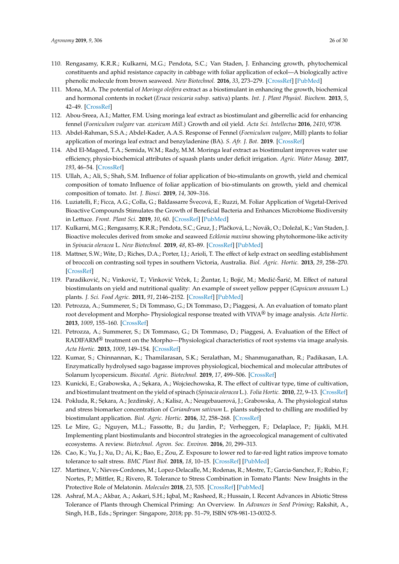- <span id="page-25-21"></span><span id="page-25-0"></span>110. Rengasamy, K.R.R.; Kulkarni, M.G.; Pendota, S.C.; Van Staden, J. Enhancing growth, phytochemical constituents and aphid resistance capacity in cabbage with foliar application of eckol—A biologically active phenolic molecule from brown seaweed. *New Biotechnol.* **2016**, *33*, 273–279. [\[CrossRef\]](http://dx.doi.org/10.1016/j.nbt.2015.11.002) [\[PubMed\]](http://www.ncbi.nlm.nih.gov/pubmed/26585339)
- <span id="page-25-1"></span>111. Mona, M.A. The potential of *Moringa oleifera* extract as a biostimulant in enhancing the growth, biochemical and hormonal contents in rocket (*Eruca vesicaria subsp*. sativa) plants. *Int. J. Plant Physiol. Biochem.* **2013**, *5*, 42–49. [\[CrossRef\]](http://dx.doi.org/10.5897/IJPPB2012.026)
- <span id="page-25-2"></span>112. Abou-Sreea, A.I.; Matter, F.M. Using moringa leaf extract as biostimulant and giberrellic acid for enhancing fennel (*Foeniculum vulgare* var. *azoricum Mill*.) Growth and oil yield. *Acta Sci. Intellectus* **2016**, *2410*, 9738.
- <span id="page-25-20"></span><span id="page-25-3"></span>113. Abdel-Rahman, S.S.A.; Abdel-Kader, A.A.S. Response of Fennel (*Foeniculum vulgare*, Mill) plants to foliar application of moringa leaf extract and benzyladenine (BA). *S. Afr. J. Bot.* **2019**. [\[CrossRef\]](http://dx.doi.org/10.1016/j.sajb.2019.01.037)
- <span id="page-25-4"></span>114. Abd El-Mageed, T.A.; Semida, W.M.; Rady, M.M. Moringa leaf extract as biostimulant improves water use efficiency, physio-biochemical attributes of squash plants under deficit irrigation. *Agric. Water Manag.* **2017**, *193*, 46–54. [\[CrossRef\]](http://dx.doi.org/10.1016/j.agwat.2017.08.004)
- <span id="page-25-5"></span>115. Ullah, A.; Ali, S.; Shah, S.M. Influence of foliar application of bio-stimulants on growth, yield and chemical composition of tomato Influence of foliar application of bio-stimulants on growth, yield and chemical composition of tomato. *Int. J. Biosci.* **2019**, *14*, 309–316.
- <span id="page-25-6"></span>116. Luziatelli, F.; Ficca, A.G.; Colla, G.; Baldassarre Švecová, E.; Ruzzi, M. Foliar Application of Vegetal-Derived Bioactive Compounds Stimulates the Growth of Beneficial Bacteria and Enhances Microbiome Biodiversity in Lettuce. *Front. Plant Sci.* **2019**, *10*, 60. [\[CrossRef\]](http://dx.doi.org/10.3389/fpls.2019.00060) [\[PubMed\]](http://www.ncbi.nlm.nih.gov/pubmed/30804958)
- <span id="page-25-19"></span><span id="page-25-7"></span>117. Kulkarni, M.G.; Rengasamy, K.R.R.; Pendota, S.C.; Gruz, J.; Plaˇcková, L.; Novák, O.; Doležal, K.; Van Staden, J. Bioactive molecules derived from smoke and seaweed *Ecklonia maxima* showing phytohormone-like activity in *Spinacia oleracea* L. *New Biotechnol.* **2019**, *48*, 83–89. [\[CrossRef\]](http://dx.doi.org/10.1016/j.nbt.2018.08.004) [\[PubMed\]](http://www.ncbi.nlm.nih.gov/pubmed/30098416)
- <span id="page-25-8"></span>118. Mattner, S.W.; Wite, D.; Riches, D.A.; Porter, I.J.; Arioli, T. The effect of kelp extract on seedling establishment of broccoli on contrasting soil types in southern Victoria, Australia. *Biol. Agric. Hortic.* **2013**, *29*, 258–270. [\[CrossRef\]](http://dx.doi.org/10.1080/01448765.2013.830276)
- <span id="page-25-9"></span>119. Paradiković, N.; Vinković, T.; Vinković Vrček, I.; Žuntar, I.; Bojić, M.; Medić-Šarić, M. Effect of natural biostimulants on yield and nutritional quality: An example of sweet yellow pepper (*Capsicum annuum* L.) plants. *J. Sci. Food Agric.* **2011**, *91*, 2146–2152. [\[CrossRef\]](http://dx.doi.org/10.1002/jsfa.4431) [\[PubMed\]](http://www.ncbi.nlm.nih.gov/pubmed/21538369)
- <span id="page-25-22"></span><span id="page-25-10"></span>120. Petrozza, A.; Summerer, S.; Di Tommaso, G.; Di Tommaso, D.; Piaggesi, A. An evaluation of tomato plant root development and Morpho- Physiological response treated with VIVA® by image analysis. *Acta Hortic.* **2013**, *1009*, 155–160. [\[CrossRef\]](http://dx.doi.org/10.17660/ActaHortic.2013.1009.19)
- <span id="page-25-11"></span>121. Petrozza, A.; Summerer, S.; Di Tommaso, G.; Di Tommaso, D.; Piaggesi, A. Evaluation of the Effect of RADIFARM<sup>®</sup> treatment on the Morpho—Physiological characteristics of root systems via image analysis. *Acta Hortic.* **2013**, *1009*, 149–154. [\[CrossRef\]](http://dx.doi.org/10.17660/ActaHortic.2013.1009.18)
- <span id="page-25-12"></span>122. Kumar, S.; Chinnannan, K.; Thamilarasan, S.K.; Seralathan, M.; Shanmuganathan, R.; Padikasan, I.A. Enzymatically hydrolysed sago bagasse improves physiological, biochemical and molecular attributes of Solanum lycopersicum. *Biocatal. Agric. Biotechnol.* **2019**, *17*, 499–506. [\[CrossRef\]](http://dx.doi.org/10.1016/j.bcab.2019.01.005)
- <span id="page-25-13"></span>123. Kunicki, E.; Grabowska, A.; Sękara, A.; Wojciechowska, R. The effect of cultivar type, time of cultivation, and biostimulant treatment on the yield of spinach (*Spinacia oleracea* L.). *Folia Hortic.* **2010**, *22*, 9–13. [\[CrossRef\]](http://dx.doi.org/10.2478/fhort-2013-0153)
- <span id="page-25-14"></span>124. Pokluda, R.; Sękara, A.; Jezdinský, A.; Kalisz, A.; Neugebauerová, J.; Grabowska, A. The physiological status and stress biomarker concentration of *Coriandrum sativum* L. plants subjected to chilling are modified by biostimulant application. *Biol. Agric. Hortic.* **2016**, *32*, 258–268. [\[CrossRef\]](http://dx.doi.org/10.1080/01448765.2016.1172344)
- <span id="page-25-15"></span>125. Le Mire, G.; Nguyen, M.L.; Fassotte, B.; du Jardin, P.; Verheggen, F.; Delaplace, P.; Jijakli, M.H. Implementing plant biostimulants and biocontrol strategies in the agroecological management of cultivated ecosystems. A review. *Biotechnol. Agron. Soc. Environ.* **2016**, *20*, 299–313.
- <span id="page-25-16"></span>126. Cao, K.; Yu, J.; Xu, D.; Ai, K.; Bao, E.; Zou, Z. Exposure to lower red to far-red light ratios improve tomato tolerance to salt stress. *BMC Plant Biol.* **2018**, *18*, 10–15. [\[CrossRef\]](http://dx.doi.org/10.1186/s12870-018-1310-9) [\[PubMed\]](http://www.ncbi.nlm.nih.gov/pubmed/29793435)
- <span id="page-25-17"></span>127. Martinez, V.; Nieves-Cordones, M.; Lopez-Delacalle, M.; Rodenas, R.; Mestre, T.; Garcia-Sanchez, F.; Rubio, F.; Nortes, P.; Mittler, R.; Rivero, R. Tolerance to Stress Combination in Tomato Plants: New Insights in the Protective Role of Melatonin. *Molecules* **2018**, *23*, 535. [\[CrossRef\]](http://dx.doi.org/10.3390/molecules23030535) [\[PubMed\]](http://www.ncbi.nlm.nih.gov/pubmed/29495548)
- <span id="page-25-18"></span>128. Ashraf, M.A.; Akbar, A.; Askari, S.H.; Iqbal, M.; Rasheed, R.; Hussain, I. Recent Advances in Abiotic Stress Tolerance of Plants through Chemical Priming: An Overview. In *Advances in Seed Priming*; Rakshit, A., Singh, H.B., Eds.; Springer: Singapore, 2018; pp. 51–79, ISBN 978-981-13-0032-5.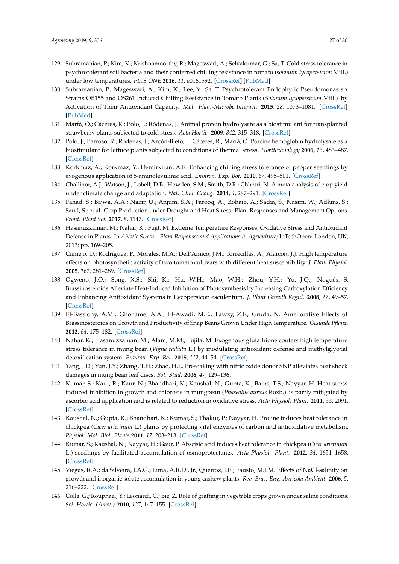- <span id="page-26-22"></span><span id="page-26-21"></span><span id="page-26-20"></span><span id="page-26-19"></span><span id="page-26-18"></span><span id="page-26-0"></span>129. Subramanian, P.; Kim, K.; Krishnamoorthy, R.; Mageswari, A.; Selvakumar, G.; Sa, T. Cold stress tolerance in psychrotolerant soil bacteria and their conferred chilling resistance in tomato (*solanum lycopersicum* Mill.) under low temperatures. *PLoS ONE* **2016**, *11*, e0161592. [\[CrossRef\]](http://dx.doi.org/10.1371/journal.pone.0161592) [\[PubMed\]](http://www.ncbi.nlm.nih.gov/pubmed/27580055)
- <span id="page-26-1"></span>130. Subramanian, P.; Mageswari, A.; Kim, K.; Lee, Y.; Sa, T. Psychrotolerant Endophytic Pseudomonas sp. Strains OB155 and OS261 Induced Chilling Resistance in Tomato Plants (*Solanum lycopersicum* Mill.) by Activation of Their Antioxidant Capacity. *Mol. Plant-Microbe Interact.* **2015**, *28*, 1073–1081. [\[CrossRef\]](http://dx.doi.org/10.1094/MPMI-01-15-0021-R) [\[PubMed\]](http://www.ncbi.nlm.nih.gov/pubmed/26075827)
- <span id="page-26-23"></span><span id="page-26-2"></span>131. Marfà, O.; Cáceres, R.; Polo, J.; Ródenas, J. Animal protein hydrolysate as a biostimulant for transplanted strawberry plants subjected to cold stress. *Acta Hortic.* **2009**, *842*, 315–318. [\[CrossRef\]](http://dx.doi.org/10.17660/ActaHortic.2009.842.57)
- <span id="page-26-24"></span><span id="page-26-3"></span>132. Polo, J.; Barroso, R.; Ródenas, J.; Azcón-Bieto, J.; Cáceres, R.; Marfà, O. Porcine hemoglobin hydrolysate as a biostimulant for lettuce plants subjected to conditions of thermal stress. *Horttechnology* **2006**, *16*, 483–487. [\[CrossRef\]](http://dx.doi.org/10.21273/HORTTECH.16.3.0483)
- <span id="page-26-29"></span><span id="page-26-4"></span>133. Korkmaz, A.; Korkmaz, Y.; Demirkiran, A.R. Enhancing chilling stress tolerance of pepper seedlings by exogenous application of 5-aminolevulinic acid. *Environ. Exp. Bot.* **2010**, *67*, 495–501. [\[CrossRef\]](http://dx.doi.org/10.1016/j.envexpbot.2009.07.009)
- <span id="page-26-5"></span>134. Challinor, A.J.; Watson, J.; Lobell, D.B.; Howden, S.M.; Smith, D.R.; Chhetri, N. A meta-analysis of crop yield under climate change and adaptation. *Nat. Clim. Chang.* **2014**, *4*, 287–291. [\[CrossRef\]](http://dx.doi.org/10.1038/nclimate2153)
- <span id="page-26-26"></span><span id="page-26-25"></span><span id="page-26-6"></span>135. Fahad, S.; Bajwa, A.A.; Nazir, U.; Anjum, S.A.; Farooq, A.; Zohaib, A.; Sadia, S.; Nasim, W.; Adkins, S.; Saud, S.; et al. Crop Production under Drought and Heat Stress: Plant Responses and Management Options. *Front. Plant Sci.* **2017**, *8*, 1147. [\[CrossRef\]](http://dx.doi.org/10.3389/fpls.2017.01147)
- <span id="page-26-7"></span>136. Hasanuzzaman, M.; Nahar, K.; Fujit, M. Extreme Temperature Responses, Oxidative Stress and Antioxidant Defense in Plants. In *Abiotic Stress—Plant Responses and Applications in Agriculture*; InTechOpen: London, UK, 2013; pp. 169–205.
- <span id="page-26-27"></span><span id="page-26-8"></span>137. Camejo, D.; Rodríguez, P.; Morales, M.A.; Dell'Amico, J.M.; Torrecillas, A.; Alarcón, J.J. High temperature effects on photosynthetic activity of two tomato cultivars with different heat susceptibility. *J. Plant Physiol.* **2005**, *162*, 281–289. [\[CrossRef\]](http://dx.doi.org/10.1016/j.jplph.2004.07.014)
- <span id="page-26-28"></span><span id="page-26-9"></span>138. Ogweno, J.O.; Song, X.S.; Shi, K.; Hu, W.H.; Mao, W.H.; Zhou, Y.H.; Yu, J.Q.; Nogués, S. Brassinosteroids Alleviate Heat-Induced Inhibition of Photosynthesis by Increasing Carboxylation Efficiency and Enhancing Antioxidant Systems in Lycopersicon esculentum. *J. Plant Growth Regul.* **2008**, *27*, 49–57. [\[CrossRef\]](http://dx.doi.org/10.1007/s00344-007-9030-7)
- <span id="page-26-10"></span>139. El-Bassiony, A.M.; Ghoname, A.A.; El-Awadi, M.E.; Fawzy, Z.F.; Gruda, N. Ameliorative Effects of Brassinosteroids on Growth and Productivity of Snap Beans Grown Under High Temperature. *Gesunde Pflanz.* **2012**, *64*, 175–182. [\[CrossRef\]](http://dx.doi.org/10.1007/s10343-012-0286-x)
- <span id="page-26-11"></span>140. Nahar, K.; Hasanuzzaman, M.; Alam, M.M.; Fujita, M. Exogenous glutathione confers high temperature stress tolerance in mung bean (*Vigna radiata* L.) by modulating antioxidant defense and methylglyoxal detoxification system. *Environ. Exp. Bot.* **2015**, *112*, 44–54. [\[CrossRef\]](http://dx.doi.org/10.1016/j.envexpbot.2014.12.001)
- <span id="page-26-12"></span>141. Yang, J.D.; Yun, J.Y.; Zhang, T.H.; Zhao, H.L. Presoaking with nitric oxide donor SNP alleviates heat shock damages in mung bean leaf discs. *Bot. Stud.* **2006**, *47*, 129–136.
- <span id="page-26-13"></span>142. Kumar, S.; Kaur, R.; Kaur, N.; Bhandhari, K.; Kaushal, N.; Gupta, K.; Bains, T.S.; Nayyar, H. Heat-stress induced inhibition in growth and chlorosis in mungbean (*Phaseolus aureus* Roxb.) is partly mitigated by ascorbic acid application and is related to reduction in oxidative stress. *Acta Physiol. Plant.* **2011**, *33*, 2091. [\[CrossRef\]](http://dx.doi.org/10.1007/s11738-011-0748-2)
- <span id="page-26-14"></span>143. Kaushal, N.; Gupta, K.; Bhandhari, K.; Kumar, S.; Thakur, P.; Nayyar, H. Proline induces heat tolerance in chickpea (*Cicer arietinum* L.) plants by protecting vital enzymes of carbon and antioxidative metabolism. *Physiol. Mol. Biol. Plants* **2011**, *17*, 203–213. [\[CrossRef\]](http://dx.doi.org/10.1007/s12298-011-0078-2)
- <span id="page-26-15"></span>144. Kumar, S.; Kaushal, N.; Nayyar, H.; Gaur, P. Abscisic acid induces heat tolerance in chickpea (*Cicer arietinum* L.) seedlings by facilitated accumulation of osmoprotectants. *Acta Physiol. Plant.* **2012**, *34*, 1651–1658. [\[CrossRef\]](http://dx.doi.org/10.1007/s11738-012-0959-1)
- <span id="page-26-16"></span>145. Viégas, R.A.; da Silveira, J.A.G.; Lima, A.R.D., Jr.; Queiroz, J.E.; Fausto, M.J.M. Effects of NaCl-salinity on growth and inorganic solute accumulation in young cashew plants. *Rev. Bras. Eng. Agrícola Ambient.* **2006**, *5*, 216–222. [\[CrossRef\]](http://dx.doi.org/10.1590/S1415-43662001000200007)
- <span id="page-26-17"></span>146. Colla, G.; Rouphael, Y.; Leonardi, C.; Bie, Z. Role of grafting in vegetable crops grown under saline conditions. *Sci. Hortic. (Amst.)* **2010**, *127*, 147–155. [\[CrossRef\]](http://dx.doi.org/10.1016/j.scienta.2010.08.004)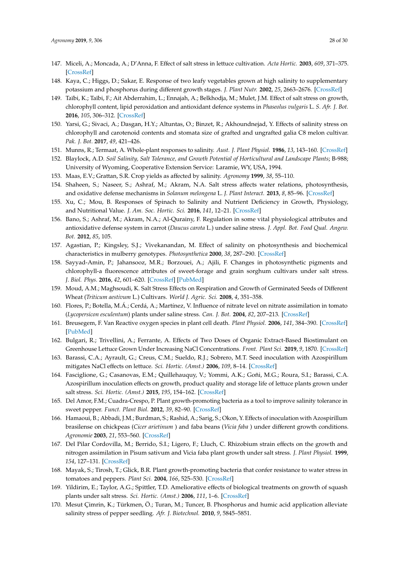- <span id="page-27-0"></span>147. Miceli, A.; Moncada, A.; D'Anna, F. Effect of salt stress in lettuce cultivation. *Acta Hortic.* **2003**, *609*, 371–375. [\[CrossRef\]](http://dx.doi.org/10.17660/ActaHortic.2003.609.56)
- <span id="page-27-1"></span>148. Kaya, C.; Higgs, D.; Sakar, E. Response of two leafy vegetables grown at high salinity to supplementary potassium and phosphorus during different growth stages. *J. Plant Nutr.* **2002**, *25*, 2663–2676. [\[CrossRef\]](http://dx.doi.org/10.1081/PLN-120015530)
- <span id="page-27-2"></span>149. Taïbi, K.; Taïbi, F.; Ait Abderrahim, L.; Ennajah, A.; Belkhodja, M.; Mulet, J.M. Effect of salt stress on growth, chlorophyll content, lipid peroxidation and antioxidant defence systems in *Phaseolus vulgaris* L. *S. Afr. J. Bot.* **2016**, *105*, 306–312. [\[CrossRef\]](http://dx.doi.org/10.1016/j.sajb.2016.03.011)
- <span id="page-27-3"></span>150. Yarsi, G.; Sivaci, A.; Dasgan, H.Y.; Altuntas, O.; Binzet, R.; Akhoundnejad, Y. Effects of salinity stress on chlorophyll and carotenoid contents and stomata size of grafted and ungrafted galia C8 melon cultivar. *Pak. J. Bot.* **2017**, *49*, 421–426.
- <span id="page-27-4"></span>151. Munns, R.; Termaat, A. Whole-plant responses to salinity. *Aust. J. Plant Physiol.* **1986**, *13*, 143–160. [\[CrossRef\]](http://dx.doi.org/10.1071/PP9860143)
- 152. Blaylock, A.D. *Soil Salinity, Salt Tolerance, and Growth Potential of Horticultural and Landscape Plants*; B-988; University of Wyoming, Cooperative Extension Service: Laramie, WY, USA, 1994.
- <span id="page-27-27"></span>153. Maas, E.V.; Grattan, S.R. Crop yields as affected by salinity. *Agronomy* **1999**, *38*, 55–110.
- <span id="page-27-22"></span>154. Shaheen, S.; Naseer, S.; Ashraf, M.; Akram, N.A. Salt stress affects water relations, photosynthesis, and oxidative defense mechanisms in *Solanum melongena* L. *J. Plant Interact.* **2013**, *8*, 85–96. [\[CrossRef\]](http://dx.doi.org/10.1080/17429145.2012.718376)
- <span id="page-27-23"></span><span id="page-27-5"></span>155. Xu, C.; Mou, B. Responses of Spinach to Salinity and Nutrient Deficiency in Growth, Physiology, and Nutritional Value. *J. Am. Soc. Hortic. Sci.* **2016**, *141*, 12–21. [\[CrossRef\]](http://dx.doi.org/10.21273/JASHS.141.1.12)
- <span id="page-27-24"></span><span id="page-27-6"></span>156. Bano, S.; Ashraf, M.; Akram, N.A.; Al-Qurainy, F. Regulation in some vital physiological attributes and antioxidative defense system in carrot (*Daucus carota* L.) under saline stress. *J. Appl. Bot. Food Qual. Angew. Bot.* **2012**, *85*, 105.
- <span id="page-27-25"></span><span id="page-27-7"></span>157. Agastian, P.; Kingsley, S.J.; Vivekanandan, M. Effect of salinity on photosynthesis and biochemical characteristics in mulberry genotypes. *Photosynthetica* **2000**, *38*, 287–290. [\[CrossRef\]](http://dx.doi.org/10.1023/A:1007266932623)
- <span id="page-27-26"></span><span id="page-27-8"></span>158. Sayyad-Amin, P.; Jahansooz, M.R.; Borzouei, A.; Ajili, F. Changes in photosynthetic pigments and chlorophyll-a fluorescence attributes of sweet-forage and grain sorghum cultivars under salt stress. *J. Biol. Phys.* **2016**, *42*, 601–620. [\[CrossRef\]](http://dx.doi.org/10.1007/s10867-016-9428-1) [\[PubMed\]](http://www.ncbi.nlm.nih.gov/pubmed/27586195)
- <span id="page-27-9"></span>159. Moud, A.M.; Maghsoudi, K. Salt Stress Effects on Respiration and Growth of Germinated Seeds of Different Wheat (*Triticum aestivum* L.) Cultivars. *World J. Agric. Sci.* **2008**, *4*, 351–358.
- <span id="page-27-21"></span><span id="page-27-10"></span>160. Flores, P.; Botella, M.Á.; Cerdá, A.; Martínez, V. Influence of nitrate level on nitrate assimilation in tomato (*Lycopersicon esculentum*) plants under saline stress. *Can. J. Bot.* **2004**, *82*, 207–213. [\[CrossRef\]](http://dx.doi.org/10.1139/b03-152)
- <span id="page-27-11"></span>161. Breusegem, F. Van Reactive oxygen species in plant cell death. *Plant Physiol.* **2006**, *141*, 384–390. [\[CrossRef\]](http://dx.doi.org/10.1104/pp.106.078295) [\[PubMed\]](http://www.ncbi.nlm.nih.gov/pubmed/16760492)
- <span id="page-27-12"></span>162. Bulgari, R.; Trivellini, A.; Ferrante, A. Effects of Two Doses of Organic Extract-Based Biostimulant on Greenhouse Lettuce Grown Under Increasing NaCl Concentrations. *Front. Plant Sci.* **2019**, *9*, 1870. [\[CrossRef\]](http://dx.doi.org/10.3389/fpls.2018.01870)
- <span id="page-27-13"></span>163. Barassi, C.A.; Ayrault, G.; Creus, C.M.; Sueldo, R.J.; Sobrero, M.T. Seed inoculation with Azospirillum mitigates NaCl effects on lettuce. *Sci. Hortic. (Amst.)* **2006**, *109*, 8–14. [\[CrossRef\]](http://dx.doi.org/10.1016/j.scienta.2006.02.025)
- <span id="page-27-14"></span>164. Fasciglione, G.; Casanovas, E.M.; Quillehauquy, V.; Yommi, A.K.; Goñi, M.G.; Roura, S.I.; Barassi, C.A. Azospirillum inoculation effects on growth, product quality and storage life of lettuce plants grown under salt stress. *Sci. Hortic. (Amst.)* **2015**, *195*, 154–162. [\[CrossRef\]](http://dx.doi.org/10.1016/j.scienta.2015.09.015)
- <span id="page-27-15"></span>165. Del Amor, F.M.; Cuadra-Crespo, P. Plant growth-promoting bacteria as a tool to improve salinity tolerance in sweet pepper. *Funct. Plant Biol.* **2012**, *39*, 82–90. [\[CrossRef\]](http://dx.doi.org/10.1071/FP11173)
- <span id="page-27-16"></span>166. Hamaoui, B.; Abbadi, J.M.; Burdman, S.; Rashid, A.; Sarig, S.; Okon, Y. Effects of inoculation with Azospirillum brasilense on chickpeas (*Cicer arietinum* ) and faba beans (*Vicia faba* ) under different growth conditions. *Agronomie* **2003**, *21*, 553–560. [\[CrossRef\]](http://dx.doi.org/10.1051/agro:2001144)
- <span id="page-27-17"></span>167. Del Pilar Cordovilla, M.; Berrido, S.I.; Ligero, F.; Lluch, C. Rhizobium strain effects on the growth and nitrogen assimilation in Pisum sativum and Vicia faba plant growth under salt stress. *J. Plant Physiol.* **1999**, *154*, 127–131. [\[CrossRef\]](http://dx.doi.org/10.1016/S0176-1617(99)80328-9)
- <span id="page-27-18"></span>168. Mayak, S.; Tirosh, T.; Glick, B.R. Plant growth-promoting bacteria that confer resistance to water stress in tomatoes and peppers. *Plant Sci.* **2004**, *166*, 525–530. [\[CrossRef\]](http://dx.doi.org/10.1016/j.plantsci.2003.10.025)
- <span id="page-27-19"></span>169. Yildirim, E.; Taylor, A.G.; Spittler, T.D. Ameliorative effects of biological treatments on growth of squash plants under salt stress. *Sci. Hortic. (Amst.)* **2006**, *111*, 1–6. [\[CrossRef\]](http://dx.doi.org/10.1016/j.scienta.2006.08.003)
- <span id="page-27-20"></span>170. Mesut Çimrin, K.; Türkmen, Ö.; Turan, M.; Tuncer, B. Phosphorus and humic acid application alleviate salinity stress of pepper seedling. *Afr. J. Biotechnol.* **2010**, *9*, 5845–5851.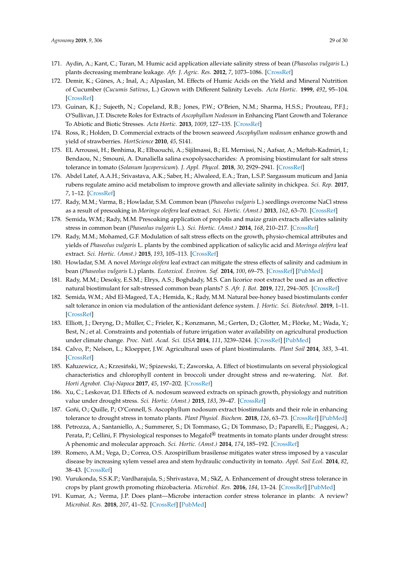- <span id="page-28-33"></span><span id="page-28-32"></span><span id="page-28-30"></span><span id="page-28-29"></span><span id="page-28-28"></span><span id="page-28-26"></span><span id="page-28-25"></span><span id="page-28-24"></span><span id="page-28-23"></span><span id="page-28-0"></span>171. Aydin, A.; Kant, C.; Turan, M. Humic acid application alleviate salinity stress of bean (*Phaseolus vulgaris* L.) plants decreasing membrane leakage. *Afr. J. Agric. Res.* **2012**, *7*, 1073–1086. [\[CrossRef\]](http://dx.doi.org/10.5897/AJAR10.274)
- <span id="page-28-31"></span><span id="page-28-1"></span>172. Demir, K.; Günes, A.; Inal, A.; Alpaslan, M. Effects of Humic Acids on the Yield and Mineral Nutrition of Cucumber (*Cucumis Sativus*, L.) Grown with Different Salinity Levels. *Acta Hortic.* **1999**, *492*, 95–104. [\[CrossRef\]](http://dx.doi.org/10.17660/ActaHortic.1999.492.11)
- <span id="page-28-27"></span><span id="page-28-2"></span>173. Guinan, K.J.; Sujeeth, N.; Copeland, R.B.; Jones, P.W.; O'Brien, N.M.; Sharma, H.S.S.; Prouteau, P.F.J.; O'Sullivan, J.T. Discrete Roles for Extracts of *Ascophyllum Nodosum* in Enhancing Plant Growth and Tolerance To Abiotic and Biotic Stresses. *Acta Hortic.* **2013**, *1009*, 127–135. [\[CrossRef\]](http://dx.doi.org/10.17660/ActaHortic.2013.1009.15)
- <span id="page-28-3"></span>174. Ross, R.; Holden, D. Commercial extracts of the brown seaweed *Ascophyllum nodosum* enhance growth and yield of strawberries. *HortScience* **2010**, *45*, S141.
- <span id="page-28-4"></span>175. EL Arroussi, H.; Benhima, R.; Elbaouchi, A.; Sijilmassi, B.; EL Mernissi, N.; Aafsar, A.; Meftah-Kadmiri, I.; Bendaou, N.; Smouni, A. Dunaliella salina exopolysaccharides: A promising biostimulant for salt stress tolerance in tomato (*Solanum lycopersicum*). *J. Appl. Phycol.* **2018**, *30*, 2929–2941. [\[CrossRef\]](http://dx.doi.org/10.1007/s10811-017-1382-1)
- <span id="page-28-5"></span>176. Abdel Latef, A.A.H.; Srivastava, A.K.; Saber, H.; Alwaleed, E.A.; Tran, L.S.P. Sargassum muticum and Jania rubens regulate amino acid metabolism to improve growth and alleviate salinity in chickpea. *Sci. Rep.* **2017**, *7*, 1–12. [\[CrossRef\]](http://dx.doi.org/10.1038/s41598-017-07692-w)
- <span id="page-28-22"></span><span id="page-28-6"></span>177. Rady, M.M.; Varma, B.; Howladar, S.M. Common bean (*Phaseolus vulgaris* L.) seedlings overcome NaCl stress as a result of presoaking in *Moringa oleifera* leaf extract. *Sci. Hortic. (Amst.)* **2013**, *162*, 63–70. [\[CrossRef\]](http://dx.doi.org/10.1016/j.scienta.2013.07.046)
- <span id="page-28-20"></span>178. Semida, W.M.; Rady, M.M. Presoaking application of propolis and maize grain extracts alleviates salinity stress in common bean (*Phaseolus vulgaris* L.). *Sci. Hortic. (Amst.)* **2014**, *168*, 210–217. [\[CrossRef\]](http://dx.doi.org/10.1016/j.scienta.2014.01.042)
- <span id="page-28-21"></span>179. Rady, M.M.; Mohamed, G.F. Modulation of salt stress effects on the growth, physio-chemical attributes and yields of *Phaseolus vulgaris* L. plants by the combined application of salicylic acid and *Moringa oleifera* leaf extract. *Sci. Hortic. (Amst.)* **2015**, *193*, 105–113. [\[CrossRef\]](http://dx.doi.org/10.1016/j.scienta.2015.07.003)
- <span id="page-28-19"></span>180. Howladar, S.M. A novel *Moringa oleifera* leaf extract can mitigate the stress effects of salinity and cadmium in bean (*Phaseolus vulgaris* L.) plants. *Ecotoxicol. Environ. Saf.* **2014**, *100*, 69–75. [\[CrossRef\]](http://dx.doi.org/10.1016/j.ecoenv.2013.11.022) [\[PubMed\]](http://www.ncbi.nlm.nih.gov/pubmed/24433793)
- <span id="page-28-18"></span><span id="page-28-7"></span>181. Rady, M.M.; Desoky, E.S.M.; Elrys, A.S.; Boghdady, M.S. Can licorice root extract be used as an effective natural biostimulant for salt-stressed common bean plants? *S. Afr. J. Bot.* **2019**, *121*, 294–305. [\[CrossRef\]](http://dx.doi.org/10.1016/j.sajb.2018.11.019)
- <span id="page-28-8"></span>182. Semida, W.M.; Abd El-Mageed, T.A.; Hemida, K.; Rady, M.M. Natural bee-honey based biostimulants confer salt tolerance in onion via modulation of the antioxidant defence system. *J. Hortic. Sci. Biotechnol.* **2019**, 1–11. [\[CrossRef\]](http://dx.doi.org/10.1080/14620316.2019.1592711)
- <span id="page-28-9"></span>183. Elliott, J.; Deryng, D.; Müller, C.; Frieler, K.; Konzmann, M.; Gerten, D.; Glotter, M.; Flörke, M.; Wada, Y.; Best, N.; et al. Constraints and potentials of future irrigation water availability on agricultural production under climate change. *Proc. Natl. Acad. Sci. USA* **2014**, *111*, 3239–3244. [\[CrossRef\]](http://dx.doi.org/10.1073/pnas.1222474110) [\[PubMed\]](http://www.ncbi.nlm.nih.gov/pubmed/24344283)
- <span id="page-28-10"></span>184. Calvo, P.; Nelson, L.; Kloepper, J.W. Agricultural uses of plant biostimulants. *Plant Soil* **2014**, *383*, 3–41. [\[CrossRef\]](http://dx.doi.org/10.1007/s11104-014-2131-8)
- <span id="page-28-11"></span>185. Kałuzewicz, A.; Krzesiński, W.; Spizewski, T.; Zaworska, A. Effect of biostimulants on several physiological characteristics and chlorophyll content in broccoli under drought stress and re-watering. *Not. Bot. Horti Agrobot. Cluj-Napoca* **2017**, *45*, 197–202. [\[CrossRef\]](http://dx.doi.org/10.15835/nbha45110529)
- <span id="page-28-12"></span>186. Xu, C.; Leskovar, D.I. Effects of A. nodosum seaweed extracts on spinach growth, physiology and nutrition value under drought stress. *Sci. Hortic. (Amst.)* **2015**, *183*, 39–47. [\[CrossRef\]](http://dx.doi.org/10.1016/j.scienta.2014.12.004)
- <span id="page-28-13"></span>187. Goñi, O.; Quille, P.; O'Connell, S. Ascophyllum nodosum extract biostimulants and their role in enhancing tolerance to drought stress in tomato plants. *Plant Physiol. Biochem.* **2018**, *126*, 63–73. [\[CrossRef\]](http://dx.doi.org/10.1016/j.plaphy.2018.02.024) [\[PubMed\]](http://www.ncbi.nlm.nih.gov/pubmed/29501894)
- <span id="page-28-14"></span>188. Petrozza, A.; Santaniello, A.; Summerer, S.; Di Tommaso, G.; Di Tommaso, D.; Paparelli, E.; Piaggesi, A.; Perata, P.; Cellini, F. Physiological responses to Megafol<sup>®</sup> treatments in tomato plants under drought stress: A phenomic and molecular approach. *Sci. Hortic. (Amst.)* **2014**, *174*, 185–192. [\[CrossRef\]](http://dx.doi.org/10.1016/j.scienta.2014.05.023)
- <span id="page-28-15"></span>189. Romero, A.M.; Vega, D.; Correa, O.S. Azospirillum brasilense mitigates water stress imposed by a vascular disease by increasing xylem vessel area and stem hydraulic conductivity in tomato. *Appl. Soil Ecol.* **2014**, *82*, 38–43. [\[CrossRef\]](http://dx.doi.org/10.1016/j.apsoil.2014.05.010)
- <span id="page-28-16"></span>190. Vurukonda, S.S.K.P.; Vardharajula, S.; Shrivastava, M.; SkZ, A. Enhancement of drought stress tolerance in crops by plant growth promoting rhizobacteria. *Microbiol. Res.* **2016**, *184*, 13–24. [\[CrossRef\]](http://dx.doi.org/10.1016/j.micres.2015.12.003) [\[PubMed\]](http://www.ncbi.nlm.nih.gov/pubmed/26856449)
- <span id="page-28-17"></span>191. Kumar, A.; Verma, J.P. Does plant—Microbe interaction confer stress tolerance in plants: A review? *Microbiol. Res.* **2018**, *207*, 41–52. [\[CrossRef\]](http://dx.doi.org/10.1016/j.micres.2017.11.004) [\[PubMed\]](http://www.ncbi.nlm.nih.gov/pubmed/29458867)